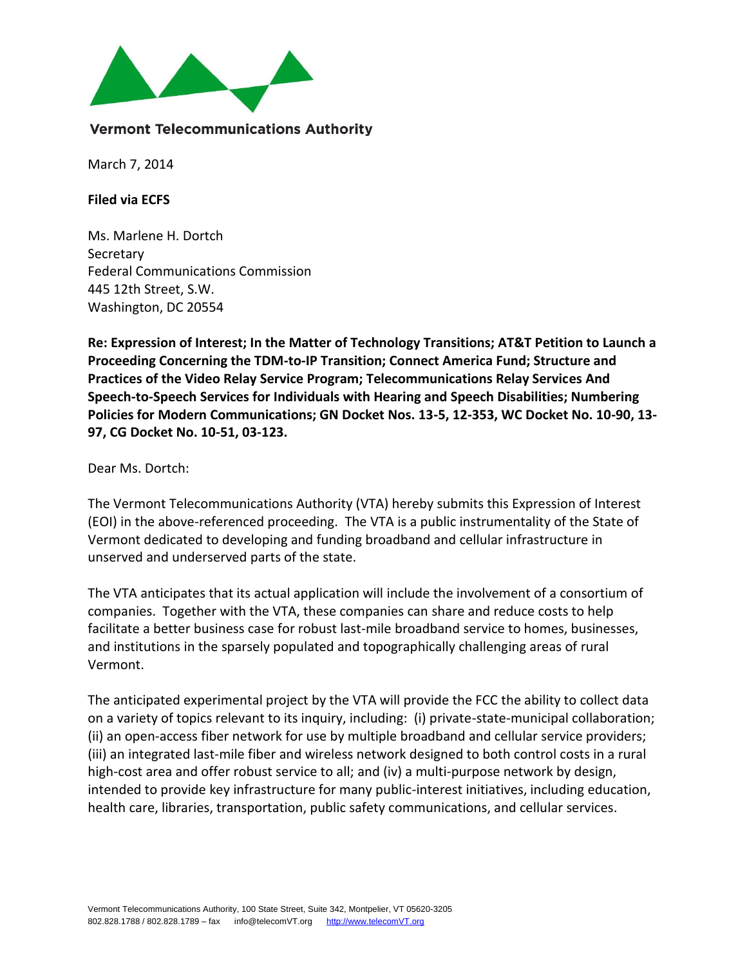

#### **Vermont Telecommunications Authority**

March 7, 2014

**Filed via ECFS** 

Ms. Marlene H. Dortch **Secretary** Federal Communications Commission 445 12th Street, S.W. Washington, DC 20554

**Re: Expression of Interest; In the Matter of Technology Transitions; AT&T Petition to Launch a Proceeding Concerning the TDM-to-IP Transition; Connect America Fund; Structure and Practices of the Video Relay Service Program; Telecommunications Relay Services And Speech-to-Speech Services for Individuals with Hearing and Speech Disabilities; Numbering Policies for Modern Communications; GN Docket Nos. 13-5, 12-353, WC Docket No. 10-90, 13- 97, CG Docket No. 10-51, 03-123.** 

Dear Ms. Dortch:

The Vermont Telecommunications Authority (VTA) hereby submits this Expression of Interest (EOI) in the above-referenced proceeding. The VTA is a public instrumentality of the State of Vermont dedicated to developing and funding broadband and cellular infrastructure in unserved and underserved parts of the state.

The VTA anticipates that its actual application will include the involvement of a consortium of companies. Together with the VTA, these companies can share and reduce costs to help facilitate a better business case for robust last-mile broadband service to homes, businesses, and institutions in the sparsely populated and topographically challenging areas of rural Vermont.

The anticipated experimental project by the VTA will provide the FCC the ability to collect data on a variety of topics relevant to its inquiry, including: (i) private-state-municipal collaboration; (ii) an open-access fiber network for use by multiple broadband and cellular service providers; (iii) an integrated last-mile fiber and wireless network designed to both control costs in a rural high-cost area and offer robust service to all; and (iv) a multi-purpose network by design, intended to provide key infrastructure for many public-interest initiatives, including education, health care, libraries, transportation, public safety communications, and cellular services.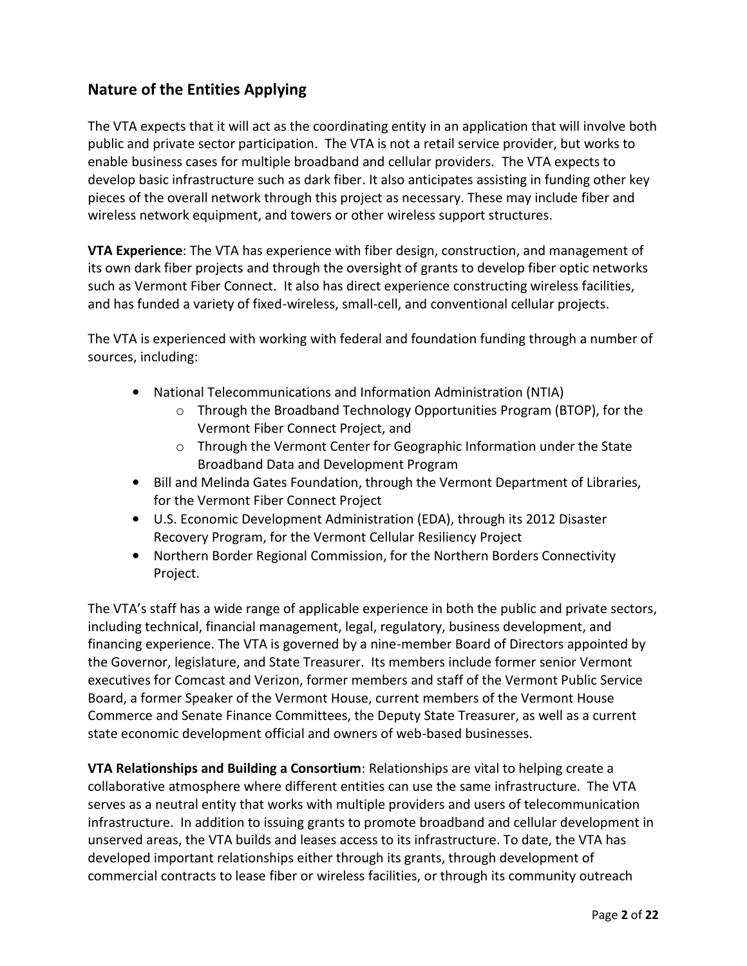# **Nature of the Entities Applying**

The VTA expects that it will act as the coordinating entity in an application that will involve both public and private sector participation. The VTA is not a retail service provider, but works to enable business cases for multiple broadband and cellular providers. The VTA expects to develop basic infrastructure such as dark fiber. It also anticipates assisting in funding other key pieces of the overall network through this project as necessary. These may include fiber and wireless network equipment, and towers or other wireless support structures.

**VTA Experience**: The VTA has experience with fiber design, construction, and management of its own dark fiber projects and through the oversight of grants to develop fiber optic networks such as Vermont Fiber Connect. It also has direct experience constructing wireless facilities, and has funded a variety of fixed-wireless, small-cell, and conventional cellular projects.

The VTA is experienced with working with federal and foundation funding through a number of sources, including:

- National Telecommunications and Information Administration (NTIA)
	- $\circ$  Through the Broadband Technology Opportunities Program (BTOP), for the Vermont Fiber Connect Project, and
	- $\circ$  Through the Vermont Center for Geographic Information under the State Broadband Data and Development Program
- Bill and Melinda Gates Foundation, through the Vermont Department of Libraries, for the Vermont Fiber Connect Project
- U.S. Economic Development Administration (EDA), through its 2012 Disaster Recovery Program, for the Vermont Cellular Resiliency Project
- Northern Border Regional Commission, for the Northern Borders Connectivity Project.

The VTA's staff has a wide range of applicable experience in both the public and private sectors, including technical, financial management, legal, regulatory, business development, and financing experience. The VTA is governed by a nine-member Board of Directors appointed by the Governor, legislature, and State Treasurer. Its members include former senior Vermont executives for Comcast and Verizon, former members and staff of the Vermont Public Service Board, a former Speaker of the Vermont House, current members of the Vermont House Commerce and Senate Finance Committees, the Deputy State Treasurer, as well as a current state economic development official and owners of web-based businesses.

**VTA Relationships and Building a Consortium**: Relationships are vital to helping create a collaborative atmosphere where different entities can use the same infrastructure. The VTA serves as a neutral entity that works with multiple providers and users of telecommunication infrastructure. In addition to issuing grants to promote broadband and cellular development in unserved areas, the VTA builds and leases access to its infrastructure. To date, the VTA has developed important relationships either through its grants, through development of commercial contracts to lease fiber or wireless facilities, or through its community outreach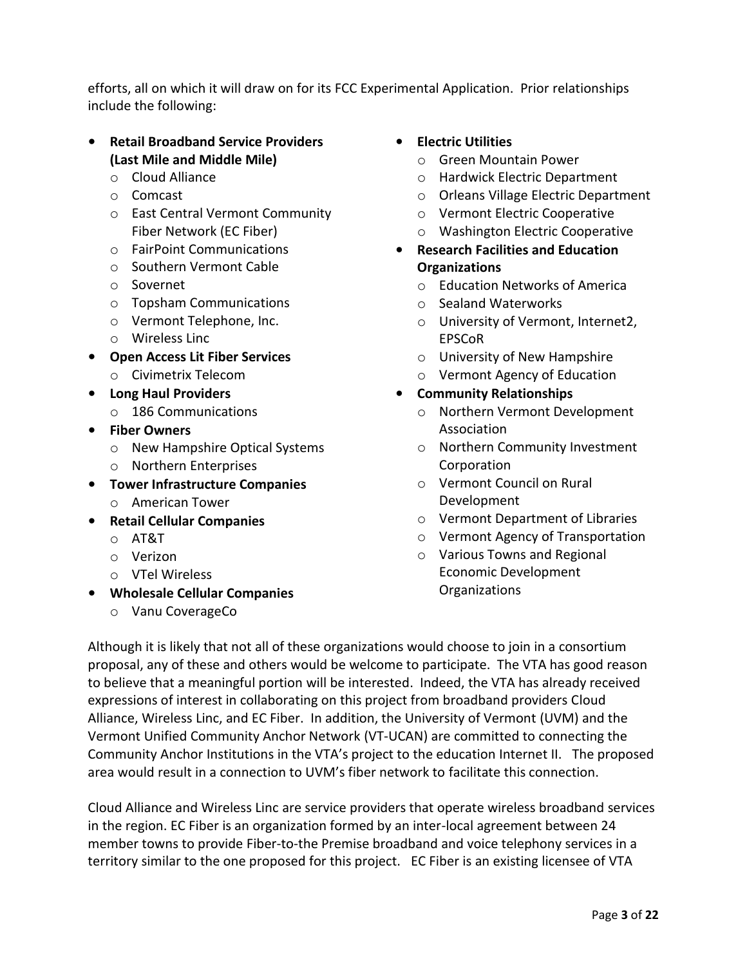efforts, all on which it will draw on for its FCC Experimental Application. Prior relationships include the following:

#### • **Retail Broadband Service Providers (Last Mile and Middle Mile)**

- o Cloud Alliance
- o Comcast
- o East Central Vermont Community Fiber Network (EC Fiber)
- o FairPoint Communications
- o Southern Vermont Cable
- o Sovernet
- o Topsham Communications
- o Vermont Telephone, Inc.
- o Wireless Linc
- **Open Access Lit Fiber Services** 
	- o Civimetrix Telecom
- **Long Haul Providers**
	- o 186 Communications
- **Fiber Owners**
	- o New Hampshire Optical Systems
	- o Northern Enterprises
- **Tower Infrastructure Companies** o American Tower
- **Retail Cellular Companies**
	- o AT&T
	- o Verizon
	- o VTel Wireless
- **Wholesale Cellular Companies**
	- o Vanu CoverageCo

#### • **Electric Utilities**

- o Green Mountain Power
- o Hardwick Electric Department
- o Orleans Village Electric Department
- o Vermont Electric Cooperative
- o Washington Electric Cooperative
- **Research Facilities and Education Organizations**
	- o Education Networks of America
	- o Sealand Waterworks
	- o University of Vermont, Internet2, EPSCoR
	- o University of New Hampshire
	- o Vermont Agency of Education
- **Community Relationships**
	- o Northern Vermont Development Association
	- o Northern Community Investment Corporation
	- o Vermont Council on Rural Development
	- o Vermont Department of Libraries
	- o Vermont Agency of Transportation
	- o Various Towns and Regional Economic Development **Organizations**

Although it is likely that not all of these organizations would choose to join in a consortium proposal, any of these and others would be welcome to participate. The VTA has good reason to believe that a meaningful portion will be interested. Indeed, the VTA has already received expressions of interest in collaborating on this project from broadband providers Cloud Alliance, Wireless Linc, and EC Fiber. In addition, the University of Vermont (UVM) and the Vermont Unified Community Anchor Network (VT-UCAN) are committed to connecting the Community Anchor Institutions in the VTA's project to the education Internet II. The proposed area would result in a connection to UVM's fiber network to facilitate this connection.

Cloud Alliance and Wireless Linc are service providers that operate wireless broadband services in the region. EC Fiber is an organization formed by an inter-local agreement between 24 member towns to provide Fiber-to-the Premise broadband and voice telephony services in a territory similar to the one proposed for this project. EC Fiber is an existing licensee of VTA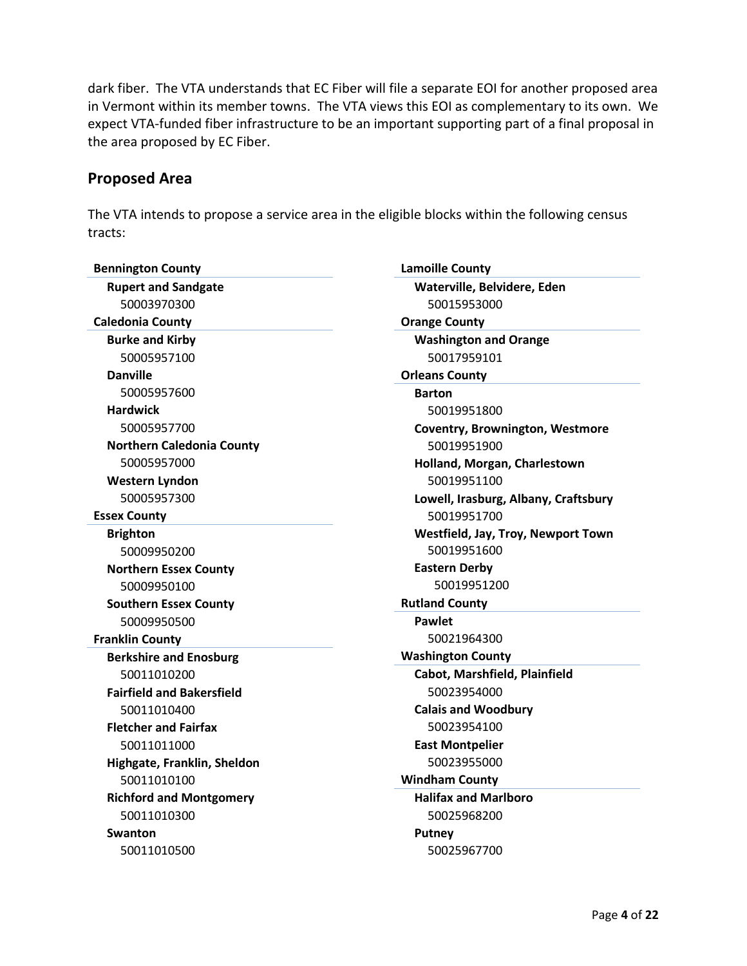dark fiber. The VTA understands that EC Fiber will file a separate EOI for another proposed area in Vermont within its member towns. The VTA views this EOI as complementary to its own. We expect VTA-funded fiber infrastructure to be an important supporting part of a final proposal in the area proposed by EC Fiber.

#### **Proposed Area**

The VTA intends to propose a service area in the eligible blocks within the following census tracts:

| <b>Bennington County</b>         |
|----------------------------------|
| <b>Rupert and Sandgate</b>       |
| 50003970300                      |
| <b>Caledonia County</b>          |
| <b>Burke and Kirby</b>           |
| 50005957100                      |
| <b>Danville</b>                  |
| 50005957600                      |
| <b>Hardwick</b>                  |
| 50005957700                      |
| <b>Northern Caledonia County</b> |
| 50005957000                      |
| <b>Western Lyndon</b>            |
| 50005957300                      |
| <b>Essex County</b>              |
| <b>Brighton</b>                  |
| 50009950200                      |
| <b>Northern Essex County</b>     |
| 50009950100                      |
| <b>Southern Essex County</b>     |
| 50009950500                      |
| <b>Franklin County</b>           |
| <b>Berkshire and Enosburg</b>    |
| 50011010200                      |
| <b>Fairfield and Bakersfield</b> |
| 50011010400                      |
| <b>Fletcher and Fairfax</b>      |
| 50011011000                      |
| Highgate, Franklin, Sheldon      |
| 50011010100                      |
| <b>Richford and Montgomery</b>   |
| 50011010300                      |
| Swanton                          |
| 50011010500                      |

**Lamoille County Waterville, Belvidere, Eden** 50015953000 **Orange County Washington and Orange** 50017959101 **Orleans County Barton** 50019951800 **Coventry, Brownington, Westmore** 50019951900 **Holland, Morgan, Charlestown** 50019951100 **Lowell, Irasburg, Albany, Craftsbury** 50019951700 **Westfield, Jay, Troy, Newport Town** 50019951600 **Eastern Derby** 50019951200 **Rutland County Pawlet** 50021964300 **Washington County Cabot, Marshfield, Plainfield** 50023954000 **Calais and Woodbury** 50023954100 **East Montpelier** 50023955000 **Windham County Halifax and Marlboro** 50025968200 **Putney** 50025967700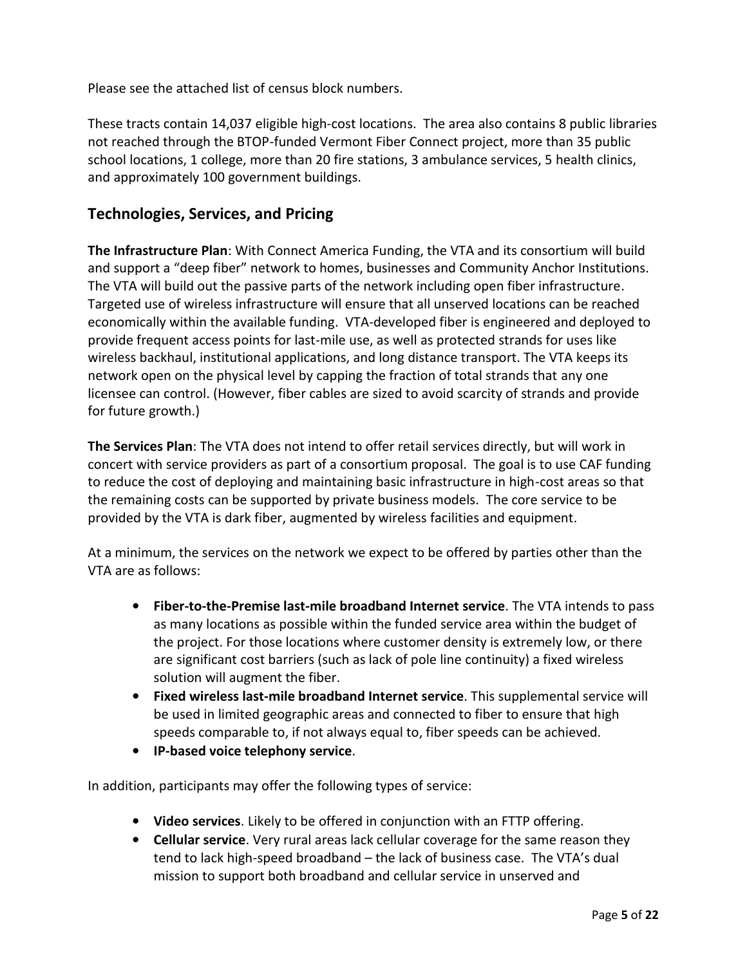Please see the attached list of census block numbers.

These tracts contain 14,037 eligible high-cost locations. The area also contains 8 public libraries not reached through the BTOP-funded Vermont Fiber Connect project, more than 35 public school locations, 1 college, more than 20 fire stations, 3 ambulance services, 5 health clinics, and approximately 100 government buildings.

### **Technologies, Services, and Pricing**

**The Infrastructure Plan**: With Connect America Funding, the VTA and its consortium will build and support a "deep fiber" network to homes, businesses and Community Anchor Institutions. The VTA will build out the passive parts of the network including open fiber infrastructure. Targeted use of wireless infrastructure will ensure that all unserved locations can be reached economically within the available funding. VTA-developed fiber is engineered and deployed to provide frequent access points for last-mile use, as well as protected strands for uses like wireless backhaul, institutional applications, and long distance transport. The VTA keeps its network open on the physical level by capping the fraction of total strands that any one licensee can control. (However, fiber cables are sized to avoid scarcity of strands and provide for future growth.)

**The Services Plan**: The VTA does not intend to offer retail services directly, but will work in concert with service providers as part of a consortium proposal. The goal is to use CAF funding to reduce the cost of deploying and maintaining basic infrastructure in high-cost areas so that the remaining costs can be supported by private business models. The core service to be provided by the VTA is dark fiber, augmented by wireless facilities and equipment.

At a minimum, the services on the network we expect to be offered by parties other than the VTA are as follows:

- **Fiber-to-the-Premise last-mile broadband Internet service**. The VTA intends to pass as many locations as possible within the funded service area within the budget of the project. For those locations where customer density is extremely low, or there are significant cost barriers (such as lack of pole line continuity) a fixed wireless solution will augment the fiber.
- **Fixed wireless last-mile broadband Internet service**. This supplemental service will be used in limited geographic areas and connected to fiber to ensure that high speeds comparable to, if not always equal to, fiber speeds can be achieved.
- **IP-based voice telephony service**.

In addition, participants may offer the following types of service:

- **Video services**. Likely to be offered in conjunction with an FTTP offering.
- **Cellular service**. Very rural areas lack cellular coverage for the same reason they tend to lack high-speed broadband – the lack of business case. The VTA's dual mission to support both broadband and cellular service in unserved and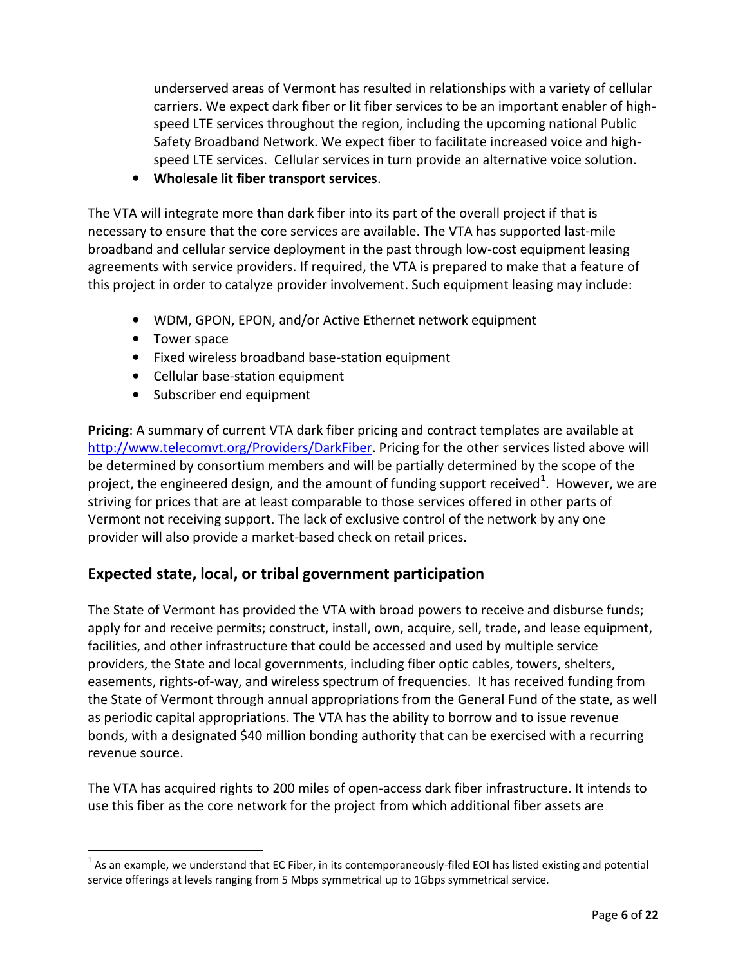underserved areas of Vermont has resulted in relationships with a variety of cellular carriers. We expect dark fiber or lit fiber services to be an important enabler of highspeed LTE services throughout the region, including the upcoming national Public Safety Broadband Network. We expect fiber to facilitate increased voice and highspeed LTE services. Cellular services in turn provide an alternative voice solution.

• **Wholesale lit fiber transport services**.

The VTA will integrate more than dark fiber into its part of the overall project if that is necessary to ensure that the core services are available. The VTA has supported last-mile broadband and cellular service deployment in the past through low-cost equipment leasing agreements with service providers. If required, the VTA is prepared to make that a feature of this project in order to catalyze provider involvement. Such equipment leasing may include:

- WDM, GPON, EPON, and/or Active Ethernet network equipment
- Tower space

 $\overline{\phantom{a}}$ 

- Fixed wireless broadband base-station equipment
- Cellular base-station equipment
- Subscriber end equipment

**Pricing**: A summary of current VTA dark fiber pricing and contract templates are available at [http://www.telecomvt.org/Providers/DarkFiber.](http://www.telecomvt.org/Providers/DarkFiber) Pricing for the other services listed above will be determined by consortium members and will be partially determined by the scope of the project, the engineered design, and the amount of funding support received $^1$ . However, we are striving for prices that are at least comparable to those services offered in other parts of Vermont not receiving support. The lack of exclusive control of the network by any one provider will also provide a market-based check on retail prices.

## **Expected state, local, or tribal government participation**

The State of Vermont has provided the VTA with broad powers to receive and disburse funds; apply for and receive permits; construct, install, own, acquire, sell, trade, and lease equipment, facilities, and other infrastructure that could be accessed and used by multiple service providers, the State and local governments, including fiber optic cables, towers, shelters, easements, rights-of-way, and wireless spectrum of frequencies. It has received funding from the State of Vermont through annual appropriations from the General Fund of the state, as well as periodic capital appropriations. The VTA has the ability to borrow and to issue revenue bonds, with a designated \$40 million bonding authority that can be exercised with a recurring revenue source.

The VTA has acquired rights to 200 miles of open-access dark fiber infrastructure. It intends to use this fiber as the core network for the project from which additional fiber assets are

 $^1$  As an example, we understand that EC Fiber, in its contemporaneously-filed EOI has listed existing and potential service offerings at levels ranging from 5 Mbps symmetrical up to 1Gbps symmetrical service.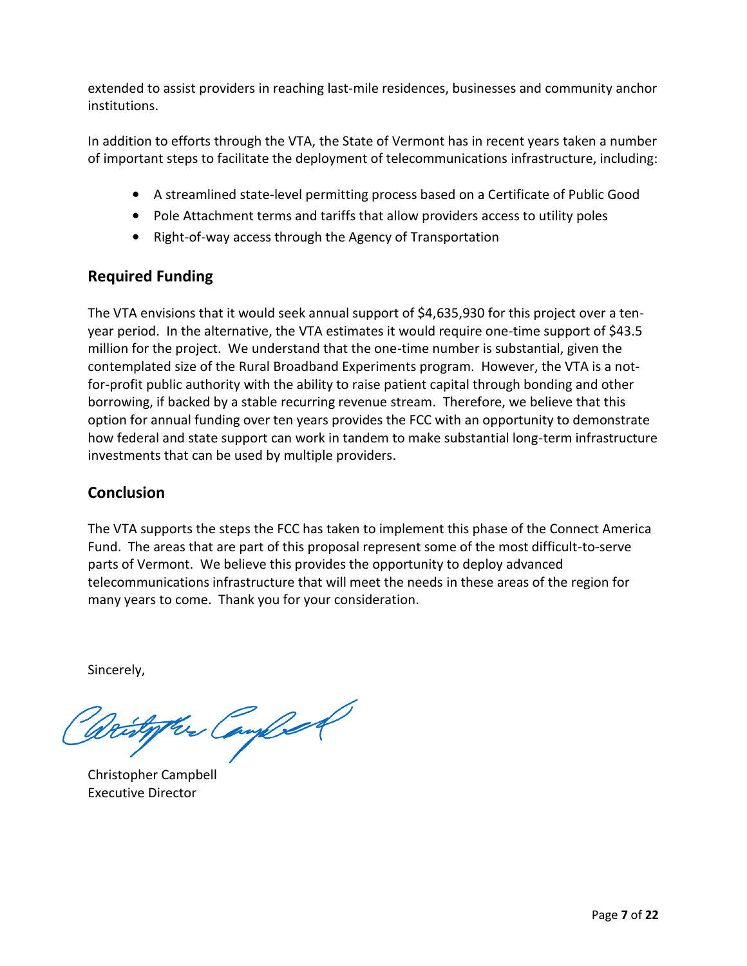extended to assist providers in reaching last-mile residences, businesses and community anchor institutions.

In addition to efforts through the VTA, the State of Vermont has in recent years taken a number of important steps to facilitate the deployment of telecommunications infrastructure, including:

- A streamlined state-level permitting process based on a Certificate of Public Good
- Pole Attachment terms and tariffs that allow providers access to utility poles
- Right-of-way access through the Agency of Transportation

## **Required Funding**

The VTA envisions that it would seek annual support of \$4,635,930 for this project over a tenyear period. In the alternative, the VTA estimates it would require one-time support of \$43.5 million for the project. We understand that the one-time number is substantial, given the contemplated size of the Rural Broadband Experiments program. However, the VTA is a notfor-profit public authority with the ability to raise patient capital through bonding and other borrowing, if backed by a stable recurring revenue stream. Therefore, we believe that this option for annual funding over ten years provides the FCC with an opportunity to demonstrate how federal and state support can work in tandem to make substantial long-term infrastructure investments that can be used by multiple providers.

### **Conclusion**

The VTA supports the steps the FCC has taken to implement this phase of the Connect America Fund. The areas that are part of this proposal represent some of the most difficult-to-serve parts of Vermont. We believe this provides the opportunity to deploy advanced telecommunications infrastructure that will meet the needs in these areas of the region for many years to come. Thank you for your consideration.

Sincerely,

Her Campbell

Christopher Campbell Executive Director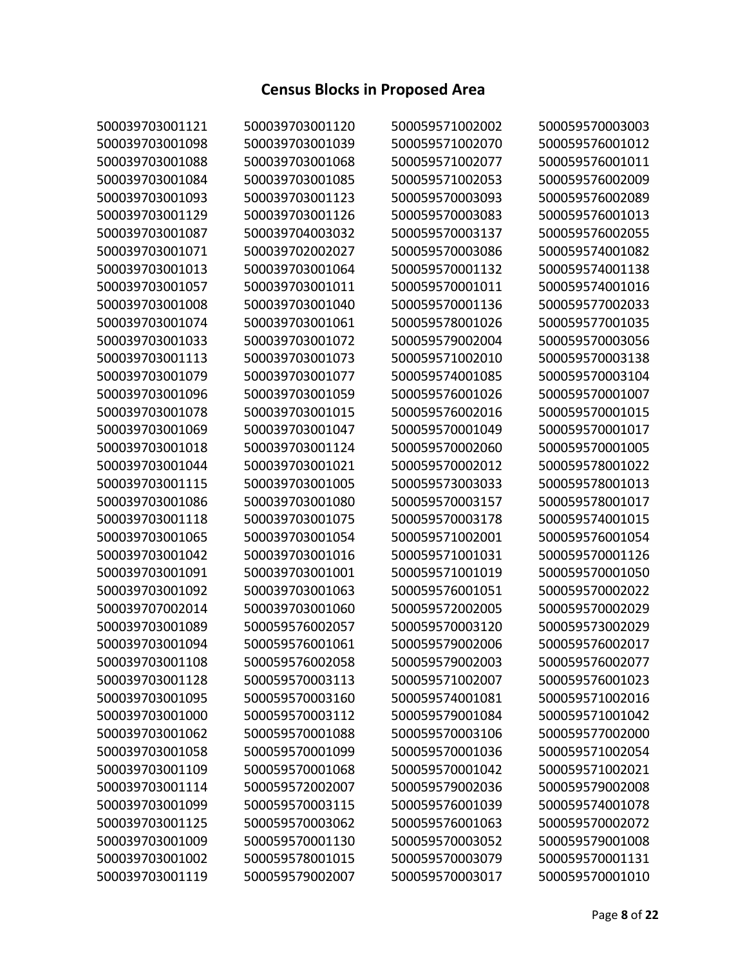# **Census Blocks in Proposed Area**

| 500039703001121 | 500039703001120 | 500059571002002 | 500059570003003 |
|-----------------|-----------------|-----------------|-----------------|
| 500039703001098 | 500039703001039 | 500059571002070 | 500059576001012 |
| 500039703001088 | 500039703001068 | 500059571002077 | 500059576001011 |
| 500039703001084 | 500039703001085 | 500059571002053 | 500059576002009 |
| 500039703001093 | 500039703001123 | 500059570003093 | 500059576002089 |
| 500039703001129 | 500039703001126 | 500059570003083 | 500059576001013 |
| 500039703001087 | 500039704003032 | 500059570003137 | 500059576002055 |
| 500039703001071 | 500039702002027 | 500059570003086 | 500059574001082 |
| 500039703001013 | 500039703001064 | 500059570001132 | 500059574001138 |
| 500039703001057 | 500039703001011 | 500059570001011 | 500059574001016 |
| 500039703001008 | 500039703001040 | 500059570001136 | 500059577002033 |
| 500039703001074 | 500039703001061 | 500059578001026 | 500059577001035 |
| 500039703001033 | 500039703001072 | 500059579002004 | 500059570003056 |
| 500039703001113 | 500039703001073 | 500059571002010 | 500059570003138 |
| 500039703001079 | 500039703001077 | 500059574001085 | 500059570003104 |
| 500039703001096 | 500039703001059 | 500059576001026 | 500059570001007 |
| 500039703001078 | 500039703001015 | 500059576002016 | 500059570001015 |
| 500039703001069 | 500039703001047 | 500059570001049 | 500059570001017 |
| 500039703001018 | 500039703001124 | 500059570002060 | 500059570001005 |
| 500039703001044 | 500039703001021 | 500059570002012 | 500059578001022 |
| 500039703001115 | 500039703001005 | 500059573003033 | 500059578001013 |
| 500039703001086 | 500039703001080 | 500059570003157 | 500059578001017 |
| 500039703001118 | 500039703001075 | 500059570003178 | 500059574001015 |
| 500039703001065 | 500039703001054 | 500059571002001 | 500059576001054 |
| 500039703001042 | 500039703001016 | 500059571001031 | 500059570001126 |
| 500039703001091 | 500039703001001 | 500059571001019 | 500059570001050 |
| 500039703001092 | 500039703001063 | 500059576001051 | 500059570002022 |
| 500039707002014 | 500039703001060 | 500059572002005 | 500059570002029 |
| 500039703001089 | 500059576002057 | 500059570003120 | 500059573002029 |
| 500039703001094 | 500059576001061 | 500059579002006 | 500059576002017 |
| 500039703001108 | 500059576002058 | 500059579002003 | 500059576002077 |
| 500039703001128 | 500059570003113 | 500059571002007 | 500059576001023 |
| 500039703001095 | 500059570003160 | 500059574001081 | 500059571002016 |
| 500039703001000 | 500059570003112 | 500059579001084 | 500059571001042 |
| 500039703001062 | 500059570001088 | 500059570003106 | 500059577002000 |
| 500039703001058 | 500059570001099 | 500059570001036 | 500059571002054 |
| 500039703001109 | 500059570001068 | 500059570001042 | 500059571002021 |
| 500039703001114 | 500059572002007 | 500059579002036 | 500059579002008 |
| 500039703001099 | 500059570003115 | 500059576001039 | 500059574001078 |
| 500039703001125 | 500059570003062 | 500059576001063 | 500059570002072 |
| 500039703001009 | 500059570001130 | 500059570003052 | 500059579001008 |
| 500039703001002 | 500059578001015 | 500059570003079 | 500059570001131 |
| 500039703001119 | 500059579002007 | 500059570003017 | 500059570001010 |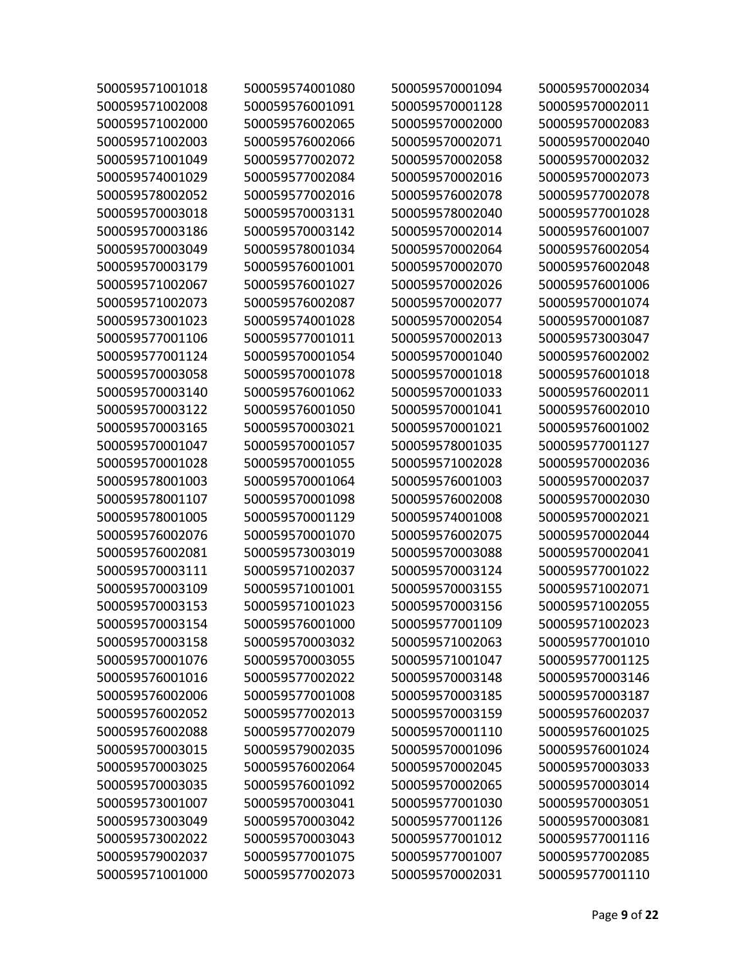| 500059571001018 | 500059574001080 | 500059570001094 | 500059570002034 |
|-----------------|-----------------|-----------------|-----------------|
| 500059571002008 | 500059576001091 | 500059570001128 | 500059570002011 |
| 500059571002000 | 500059576002065 | 500059570002000 | 500059570002083 |
| 500059571002003 | 500059576002066 | 500059570002071 | 500059570002040 |
| 500059571001049 | 500059577002072 | 500059570002058 | 500059570002032 |
| 500059574001029 | 500059577002084 | 500059570002016 | 500059570002073 |
| 500059578002052 | 500059577002016 | 500059576002078 | 500059577002078 |
| 500059570003018 | 500059570003131 | 500059578002040 | 500059577001028 |
| 500059570003186 | 500059570003142 | 500059570002014 | 500059576001007 |
| 500059570003049 | 500059578001034 | 500059570002064 | 500059576002054 |
| 500059570003179 | 500059576001001 | 500059570002070 | 500059576002048 |
| 500059571002067 | 500059576001027 | 500059570002026 | 500059576001006 |
| 500059571002073 | 500059576002087 | 500059570002077 | 500059570001074 |
| 500059573001023 | 500059574001028 | 500059570002054 | 500059570001087 |
| 500059577001106 | 500059577001011 | 500059570002013 | 500059573003047 |
| 500059577001124 | 500059570001054 | 500059570001040 | 500059576002002 |
| 500059570003058 | 500059570001078 | 500059570001018 | 500059576001018 |
| 500059570003140 | 500059576001062 | 500059570001033 | 500059576002011 |
| 500059570003122 | 500059576001050 | 500059570001041 | 500059576002010 |
| 500059570003165 | 500059570003021 | 500059570001021 | 500059576001002 |
| 500059570001047 | 500059570001057 | 500059578001035 | 500059577001127 |
| 500059570001028 | 500059570001055 | 500059571002028 | 500059570002036 |
| 500059578001003 | 500059570001064 | 500059576001003 | 500059570002037 |
| 500059578001107 | 500059570001098 | 500059576002008 | 500059570002030 |
| 500059578001005 | 500059570001129 | 500059574001008 | 500059570002021 |
| 500059576002076 | 500059570001070 | 500059576002075 | 500059570002044 |
| 500059576002081 | 500059573003019 | 500059570003088 | 500059570002041 |
| 500059570003111 | 500059571002037 | 500059570003124 | 500059577001022 |
| 500059570003109 | 500059571001001 | 500059570003155 | 500059571002071 |
| 500059570003153 | 500059571001023 | 500059570003156 | 500059571002055 |
| 500059570003154 | 500059576001000 | 500059577001109 | 500059571002023 |
| 500059570003158 | 500059570003032 | 500059571002063 | 500059577001010 |
| 500059570001076 | 500059570003055 | 500059571001047 | 500059577001125 |
| 500059576001016 | 500059577002022 | 500059570003148 | 500059570003146 |
| 500059576002006 | 500059577001008 | 500059570003185 | 500059570003187 |
| 500059576002052 | 500059577002013 | 500059570003159 | 500059576002037 |
| 500059576002088 | 500059577002079 | 500059570001110 | 500059576001025 |
| 500059570003015 | 500059579002035 | 500059570001096 | 500059576001024 |
| 500059570003025 | 500059576002064 | 500059570002045 | 500059570003033 |
| 500059570003035 | 500059576001092 | 500059570002065 | 500059570003014 |
| 500059573001007 | 500059570003041 | 500059577001030 | 500059570003051 |
| 500059573003049 | 500059570003042 | 500059577001126 | 500059570003081 |
| 500059573002022 | 500059570003043 | 500059577001012 | 500059577001116 |
| 500059579002037 | 500059577001075 | 500059577001007 | 500059577002085 |
| 500059571001000 | 500059577002073 | 500059570002031 | 500059577001110 |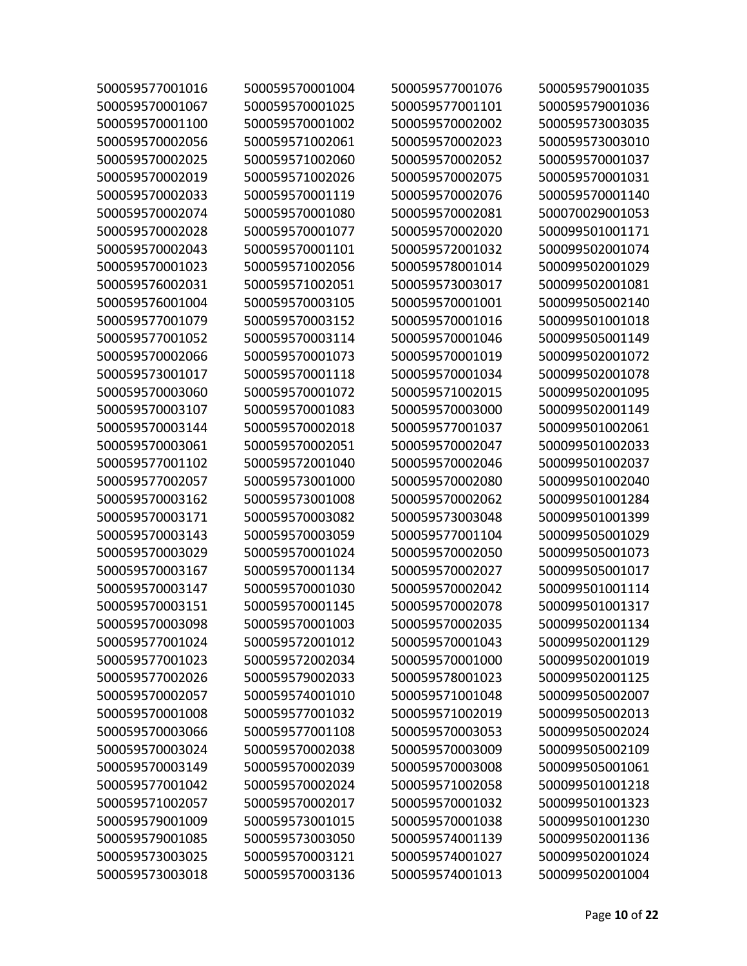| 500059577001016 | 500059570001004 | 500059577001076 | 500059579001035 |
|-----------------|-----------------|-----------------|-----------------|
| 500059570001067 | 500059570001025 | 500059577001101 | 500059579001036 |
| 500059570001100 | 500059570001002 | 500059570002002 | 500059573003035 |
| 500059570002056 | 500059571002061 | 500059570002023 | 500059573003010 |
| 500059570002025 | 500059571002060 | 500059570002052 | 500059570001037 |
| 500059570002019 | 500059571002026 | 500059570002075 | 500059570001031 |
| 500059570002033 | 500059570001119 | 500059570002076 | 500059570001140 |
| 500059570002074 | 500059570001080 | 500059570002081 | 500070029001053 |
| 500059570002028 | 500059570001077 | 500059570002020 | 500099501001171 |
| 500059570002043 | 500059570001101 | 500059572001032 | 500099502001074 |
| 500059570001023 | 500059571002056 | 500059578001014 | 500099502001029 |
| 500059576002031 | 500059571002051 | 500059573003017 | 500099502001081 |
| 500059576001004 | 500059570003105 | 500059570001001 | 500099505002140 |
| 500059577001079 | 500059570003152 | 500059570001016 | 500099501001018 |
| 500059577001052 | 500059570003114 | 500059570001046 | 500099505001149 |
| 500059570002066 | 500059570001073 | 500059570001019 | 500099502001072 |
| 500059573001017 | 500059570001118 | 500059570001034 | 500099502001078 |
| 500059570003060 | 500059570001072 | 500059571002015 | 500099502001095 |
| 500059570003107 | 500059570001083 | 500059570003000 | 500099502001149 |
| 500059570003144 | 500059570002018 | 500059577001037 | 500099501002061 |
| 500059570003061 | 500059570002051 | 500059570002047 | 500099501002033 |
| 500059577001102 | 500059572001040 | 500059570002046 | 500099501002037 |
| 500059577002057 | 500059573001000 | 500059570002080 | 500099501002040 |
| 500059570003162 | 500059573001008 | 500059570002062 | 500099501001284 |
| 500059570003171 | 500059570003082 | 500059573003048 | 500099501001399 |
| 500059570003143 | 500059570003059 | 500059577001104 | 500099505001029 |
| 500059570003029 | 500059570001024 | 500059570002050 | 500099505001073 |
| 500059570003167 | 500059570001134 | 500059570002027 | 500099505001017 |
| 500059570003147 | 500059570001030 | 500059570002042 | 500099501001114 |
| 500059570003151 | 500059570001145 | 500059570002078 | 500099501001317 |
| 500059570003098 | 500059570001003 | 500059570002035 | 500099502001134 |
| 500059577001024 | 500059572001012 | 500059570001043 | 500099502001129 |
| 500059577001023 | 500059572002034 | 500059570001000 | 500099502001019 |
| 500059577002026 | 500059579002033 | 500059578001023 | 500099502001125 |
| 500059570002057 | 500059574001010 | 500059571001048 | 500099505002007 |
| 500059570001008 | 500059577001032 | 500059571002019 | 500099505002013 |
| 500059570003066 | 500059577001108 | 500059570003053 | 500099505002024 |
| 500059570003024 | 500059570002038 | 500059570003009 | 500099505002109 |
| 500059570003149 | 500059570002039 | 500059570003008 | 500099505001061 |
| 500059577001042 | 500059570002024 | 500059571002058 | 500099501001218 |
| 500059571002057 | 500059570002017 | 500059570001032 | 500099501001323 |
| 500059579001009 | 500059573001015 | 500059570001038 | 500099501001230 |
| 500059579001085 | 500059573003050 | 500059574001139 | 500099502001136 |
| 500059573003025 | 500059570003121 | 500059574001027 | 500099502001024 |
| 500059573003018 | 500059570003136 | 500059574001013 | 500099502001004 |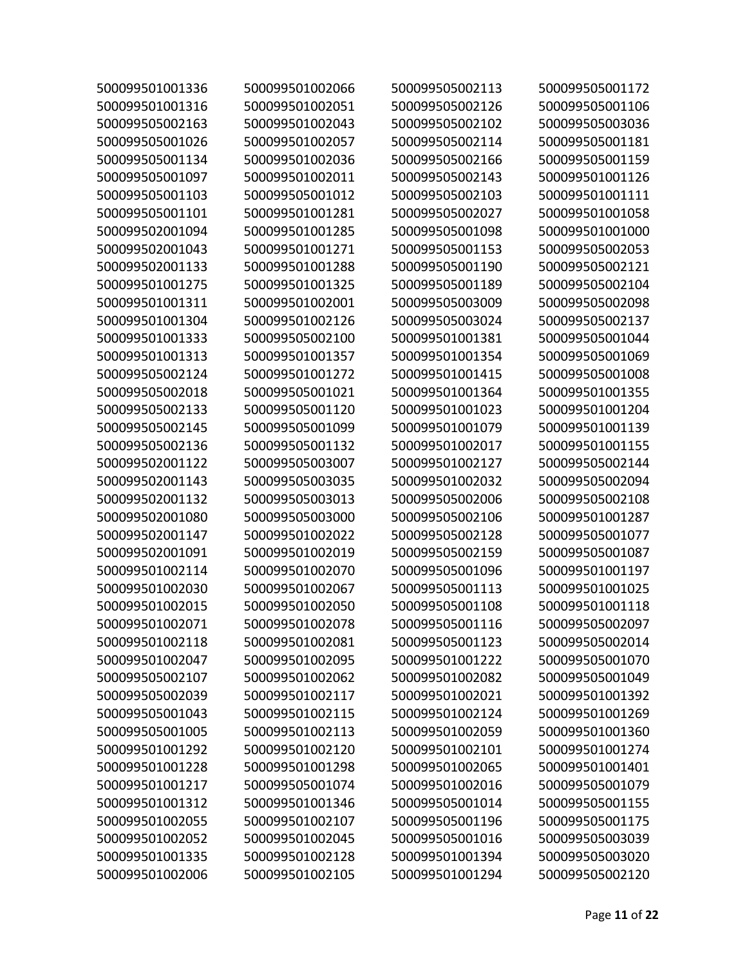| 500099501001336 | 500099501002066 | 500099505002113 | 500099505001172 |
|-----------------|-----------------|-----------------|-----------------|
| 500099501001316 | 500099501002051 | 500099505002126 | 500099505001106 |
| 500099505002163 | 500099501002043 | 500099505002102 | 500099505003036 |
| 500099505001026 | 500099501002057 | 500099505002114 | 500099505001181 |
| 500099505001134 | 500099501002036 | 500099505002166 | 500099505001159 |
| 500099505001097 | 500099501002011 | 500099505002143 | 500099501001126 |
| 500099505001103 | 500099505001012 | 500099505002103 | 500099501001111 |
| 500099505001101 | 500099501001281 | 500099505002027 | 500099501001058 |
| 500099502001094 | 500099501001285 | 500099505001098 | 500099501001000 |
| 500099502001043 | 500099501001271 | 500099505001153 | 500099505002053 |
| 500099502001133 | 500099501001288 | 500099505001190 | 500099505002121 |
| 500099501001275 | 500099501001325 | 500099505001189 | 500099505002104 |
| 500099501001311 | 500099501002001 | 500099505003009 | 500099505002098 |
| 500099501001304 | 500099501002126 | 500099505003024 | 500099505002137 |
| 500099501001333 | 500099505002100 | 500099501001381 | 500099505001044 |
| 500099501001313 | 500099501001357 | 500099501001354 | 500099505001069 |
| 500099505002124 | 500099501001272 | 500099501001415 | 500099505001008 |
| 500099505002018 | 500099505001021 | 500099501001364 | 500099501001355 |
| 500099505002133 | 500099505001120 | 500099501001023 | 500099501001204 |
| 500099505002145 | 500099505001099 | 500099501001079 | 500099501001139 |
| 500099505002136 | 500099505001132 | 500099501002017 | 500099501001155 |
| 500099502001122 | 500099505003007 | 500099501002127 | 500099505002144 |
| 500099502001143 | 500099505003035 | 500099501002032 | 500099505002094 |
| 500099502001132 | 500099505003013 | 500099505002006 | 500099505002108 |
| 500099502001080 | 500099505003000 | 500099505002106 | 500099501001287 |
| 500099502001147 | 500099501002022 | 500099505002128 | 500099505001077 |
| 500099502001091 | 500099501002019 | 500099505002159 | 500099505001087 |
| 500099501002114 | 500099501002070 | 500099505001096 | 500099501001197 |
| 500099501002030 | 500099501002067 | 500099505001113 | 500099501001025 |
| 500099501002015 | 500099501002050 | 500099505001108 | 500099501001118 |
| 500099501002071 | 500099501002078 | 500099505001116 | 500099505002097 |
| 500099501002118 | 500099501002081 | 500099505001123 | 500099505002014 |
| 500099501002047 | 500099501002095 | 500099501001222 | 500099505001070 |
| 500099505002107 | 500099501002062 | 500099501002082 | 500099505001049 |
| 500099505002039 | 500099501002117 | 500099501002021 | 500099501001392 |
| 500099505001043 | 500099501002115 | 500099501002124 | 500099501001269 |
| 500099505001005 | 500099501002113 | 500099501002059 | 500099501001360 |
| 500099501001292 | 500099501002120 | 500099501002101 | 500099501001274 |
| 500099501001228 | 500099501001298 | 500099501002065 | 500099501001401 |
| 500099501001217 | 500099505001074 | 500099501002016 | 500099505001079 |
| 500099501001312 | 500099501001346 | 500099505001014 | 500099505001155 |
| 500099501002055 | 500099501002107 | 500099505001196 | 500099505001175 |
| 500099501002052 | 500099501002045 | 500099505001016 | 500099505003039 |
| 500099501001335 | 500099501002128 | 500099501001394 | 500099505003020 |
| 500099501002006 | 500099501002105 | 500099501001294 | 500099505002120 |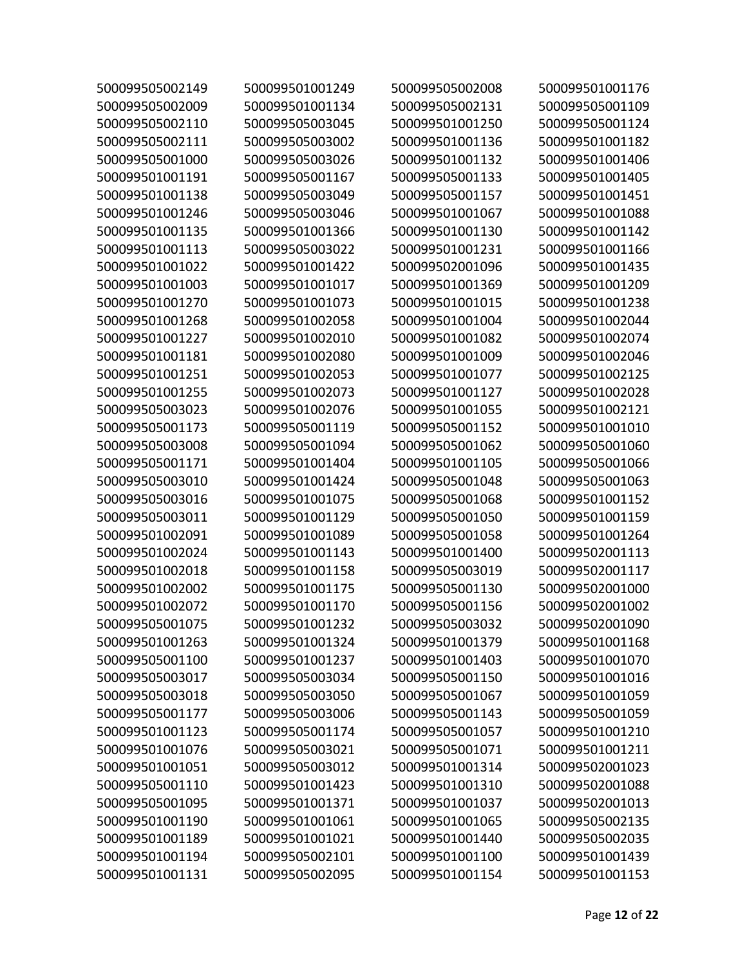| 500099505002149 | 500099501001249 | 500099505002008 | 500099501001176 |
|-----------------|-----------------|-----------------|-----------------|
| 500099505002009 | 500099501001134 | 500099505002131 | 500099505001109 |
| 500099505002110 | 500099505003045 | 500099501001250 | 500099505001124 |
| 500099505002111 | 500099505003002 | 500099501001136 | 500099501001182 |
| 500099505001000 | 500099505003026 | 500099501001132 | 500099501001406 |
| 500099501001191 | 500099505001167 | 500099505001133 | 500099501001405 |
| 500099501001138 | 500099505003049 | 500099505001157 | 500099501001451 |
| 500099501001246 | 500099505003046 | 500099501001067 | 500099501001088 |
| 500099501001135 | 500099501001366 | 500099501001130 | 500099501001142 |
| 500099501001113 | 500099505003022 | 500099501001231 | 500099501001166 |
| 500099501001022 | 500099501001422 | 500099502001096 | 500099501001435 |
| 500099501001003 | 500099501001017 | 500099501001369 | 500099501001209 |
| 500099501001270 | 500099501001073 | 500099501001015 | 500099501001238 |
| 500099501001268 | 500099501002058 | 500099501001004 | 500099501002044 |
| 500099501001227 | 500099501002010 | 500099501001082 | 500099501002074 |
| 500099501001181 | 500099501002080 | 500099501001009 | 500099501002046 |
| 500099501001251 | 500099501002053 | 500099501001077 | 500099501002125 |
| 500099501001255 | 500099501002073 | 500099501001127 | 500099501002028 |
| 500099505003023 | 500099501002076 | 500099501001055 | 500099501002121 |
| 500099505001173 | 500099505001119 | 500099505001152 | 500099501001010 |
| 500099505003008 | 500099505001094 | 500099505001062 | 500099505001060 |
| 500099505001171 | 500099501001404 | 500099501001105 | 500099505001066 |
| 500099505003010 | 500099501001424 | 500099505001048 | 500099505001063 |
| 500099505003016 | 500099501001075 | 500099505001068 | 500099501001152 |
| 500099505003011 | 500099501001129 | 500099505001050 | 500099501001159 |
| 500099501002091 | 500099501001089 | 500099505001058 | 500099501001264 |
| 500099501002024 | 500099501001143 | 500099501001400 | 500099502001113 |
| 500099501002018 | 500099501001158 | 500099505003019 | 500099502001117 |
| 500099501002002 | 500099501001175 | 500099505001130 | 500099502001000 |
| 500099501002072 | 500099501001170 | 500099505001156 | 500099502001002 |
| 500099505001075 | 500099501001232 | 500099505003032 | 500099502001090 |
| 500099501001263 | 500099501001324 | 500099501001379 | 500099501001168 |
| 500099505001100 | 500099501001237 | 500099501001403 | 500099501001070 |
| 500099505003017 | 500099505003034 | 500099505001150 | 500099501001016 |
| 500099505003018 | 500099505003050 | 500099505001067 | 500099501001059 |
| 500099505001177 | 500099505003006 | 500099505001143 | 500099505001059 |
| 500099501001123 | 500099505001174 | 500099505001057 | 500099501001210 |
| 500099501001076 | 500099505003021 | 500099505001071 | 500099501001211 |
| 500099501001051 | 500099505003012 | 500099501001314 | 500099502001023 |
| 500099505001110 | 500099501001423 | 500099501001310 | 500099502001088 |
| 500099505001095 | 500099501001371 | 500099501001037 | 500099502001013 |
| 500099501001190 | 500099501001061 | 500099501001065 | 500099505002135 |
| 500099501001189 | 500099501001021 | 500099501001440 | 500099505002035 |
| 500099501001194 | 500099505002101 | 500099501001100 | 500099501001439 |
| 500099501001131 | 500099505002095 | 500099501001154 | 500099501001153 |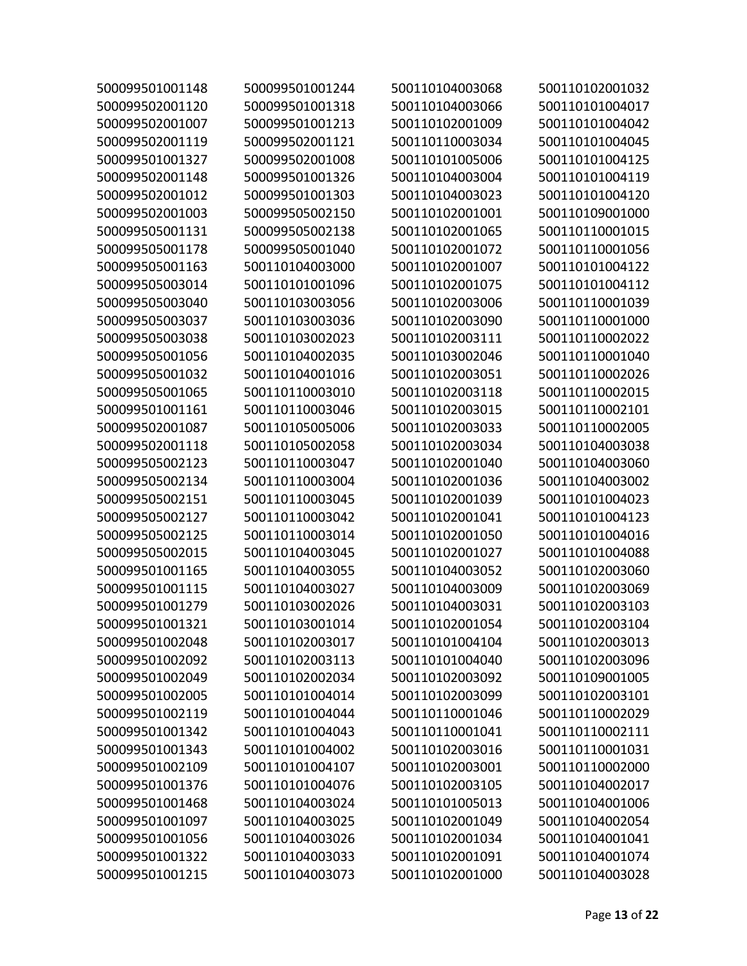| 500099501001148 | 500099501001244 | 500110104003068 | 500110102001032 |
|-----------------|-----------------|-----------------|-----------------|
| 500099502001120 | 500099501001318 | 500110104003066 | 500110101004017 |
| 500099502001007 | 500099501001213 | 500110102001009 | 500110101004042 |
| 500099502001119 | 500099502001121 | 500110110003034 | 500110101004045 |
| 500099501001327 | 500099502001008 | 500110101005006 | 500110101004125 |
| 500099502001148 | 500099501001326 | 500110104003004 | 500110101004119 |
| 500099502001012 | 500099501001303 | 500110104003023 | 500110101004120 |
| 500099502001003 | 500099505002150 | 500110102001001 | 500110109001000 |
| 500099505001131 | 500099505002138 | 500110102001065 | 500110110001015 |
| 500099505001178 | 500099505001040 | 500110102001072 | 500110110001056 |
| 500099505001163 | 500110104003000 | 500110102001007 | 500110101004122 |
| 500099505003014 | 500110101001096 | 500110102001075 | 500110101004112 |
| 500099505003040 | 500110103003056 | 500110102003006 | 500110110001039 |
| 500099505003037 | 500110103003036 | 500110102003090 | 500110110001000 |
| 500099505003038 | 500110103002023 | 500110102003111 | 500110110002022 |
| 500099505001056 | 500110104002035 | 500110103002046 | 500110110001040 |
| 500099505001032 | 500110104001016 | 500110102003051 | 500110110002026 |
| 500099505001065 | 500110110003010 | 500110102003118 | 500110110002015 |
| 500099501001161 | 500110110003046 | 500110102003015 | 500110110002101 |
| 500099502001087 | 500110105005006 | 500110102003033 | 500110110002005 |
| 500099502001118 | 500110105002058 | 500110102003034 | 500110104003038 |
| 500099505002123 | 500110110003047 | 500110102001040 | 500110104003060 |
| 500099505002134 | 500110110003004 | 500110102001036 | 500110104003002 |
| 500099505002151 | 500110110003045 | 500110102001039 | 500110101004023 |
| 500099505002127 | 500110110003042 | 500110102001041 | 500110101004123 |
| 500099505002125 | 500110110003014 | 500110102001050 | 500110101004016 |
| 500099505002015 | 500110104003045 | 500110102001027 | 500110101004088 |
| 500099501001165 | 500110104003055 | 500110104003052 | 500110102003060 |
| 500099501001115 | 500110104003027 | 500110104003009 | 500110102003069 |
| 500099501001279 | 500110103002026 | 500110104003031 | 500110102003103 |
| 500099501001321 | 500110103001014 | 500110102001054 | 500110102003104 |
| 500099501002048 | 500110102003017 | 500110101004104 | 500110102003013 |
| 500099501002092 | 500110102003113 | 500110101004040 | 500110102003096 |
| 500099501002049 | 500110102002034 | 500110102003092 | 500110109001005 |
| 500099501002005 | 500110101004014 | 500110102003099 | 500110102003101 |
| 500099501002119 | 500110101004044 | 500110110001046 | 500110110002029 |
| 500099501001342 | 500110101004043 | 500110110001041 | 500110110002111 |
| 500099501001343 | 500110101004002 | 500110102003016 | 500110110001031 |
| 500099501002109 | 500110101004107 | 500110102003001 | 500110110002000 |
| 500099501001376 | 500110101004076 | 500110102003105 | 500110104002017 |
| 500099501001468 | 500110104003024 | 500110101005013 | 500110104001006 |
| 500099501001097 | 500110104003025 | 500110102001049 | 500110104002054 |
| 500099501001056 | 500110104003026 | 500110102001034 | 500110104001041 |
| 500099501001322 | 500110104003033 | 500110102001091 | 500110104001074 |
| 500099501001215 | 500110104003073 | 500110102001000 | 500110104003028 |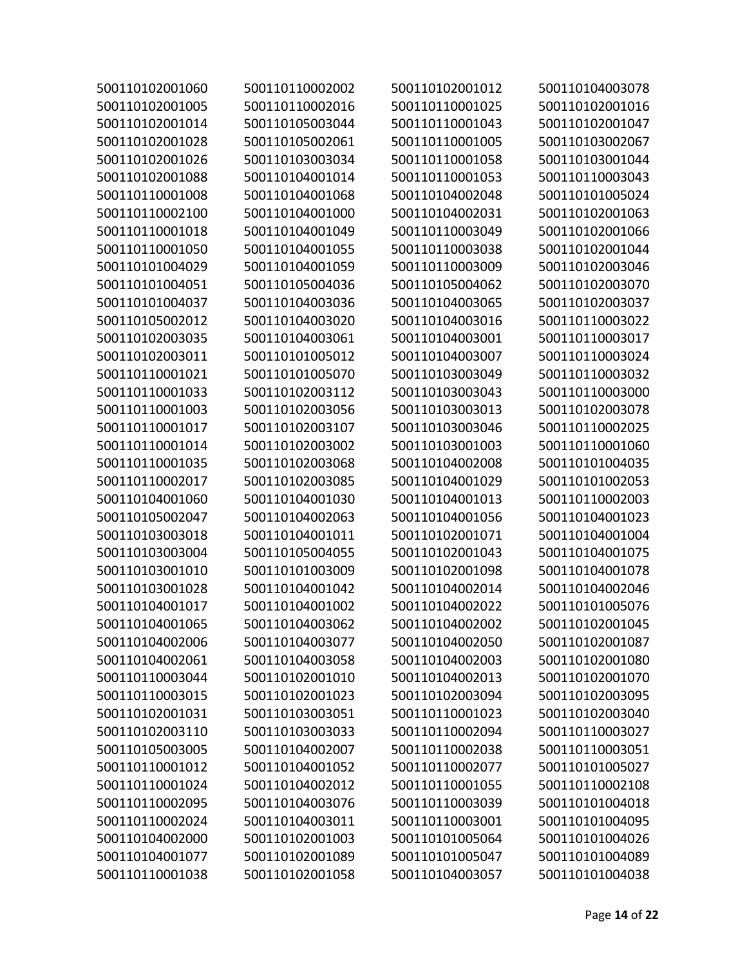| 500110102001060 | 500110110002002 | 500110102001012 | 500110104003078 |
|-----------------|-----------------|-----------------|-----------------|
| 500110102001005 | 500110110002016 | 500110110001025 | 500110102001016 |
| 500110102001014 | 500110105003044 | 500110110001043 | 500110102001047 |
| 500110102001028 | 500110105002061 | 500110110001005 | 500110103002067 |
| 500110102001026 | 500110103003034 | 500110110001058 | 500110103001044 |
| 500110102001088 | 500110104001014 | 500110110001053 | 500110110003043 |
| 500110110001008 | 500110104001068 | 500110104002048 | 500110101005024 |
| 500110110002100 | 500110104001000 | 500110104002031 | 500110102001063 |
| 500110110001018 | 500110104001049 | 500110110003049 | 500110102001066 |
| 500110110001050 | 500110104001055 | 500110110003038 | 500110102001044 |
| 500110101004029 | 500110104001059 | 500110110003009 | 500110102003046 |
| 500110101004051 | 500110105004036 | 500110105004062 | 500110102003070 |
| 500110101004037 | 500110104003036 | 500110104003065 | 500110102003037 |
| 500110105002012 | 500110104003020 | 500110104003016 | 500110110003022 |
| 500110102003035 | 500110104003061 | 500110104003001 | 500110110003017 |
| 500110102003011 | 500110101005012 | 500110104003007 | 500110110003024 |
| 500110110001021 | 500110101005070 | 500110103003049 | 500110110003032 |
| 500110110001033 | 500110102003112 | 500110103003043 | 500110110003000 |
| 500110110001003 | 500110102003056 | 500110103003013 | 500110102003078 |
| 500110110001017 | 500110102003107 | 500110103003046 | 500110110002025 |
| 500110110001014 | 500110102003002 | 500110103001003 | 500110110001060 |
| 500110110001035 | 500110102003068 | 500110104002008 | 500110101004035 |
| 500110110002017 | 500110102003085 | 500110104001029 | 500110101002053 |
| 500110104001060 | 500110104001030 | 500110104001013 | 500110110002003 |
| 500110105002047 | 500110104002063 | 500110104001056 | 500110104001023 |
| 500110103003018 | 500110104001011 | 500110102001071 | 500110104001004 |
| 500110103003004 | 500110105004055 | 500110102001043 | 500110104001075 |
| 500110103001010 | 500110101003009 | 500110102001098 | 500110104001078 |
| 500110103001028 | 500110104001042 | 500110104002014 | 500110104002046 |
| 500110104001017 | 500110104001002 | 500110104002022 | 500110101005076 |
| 500110104001065 | 500110104003062 | 500110104002002 | 500110102001045 |
| 500110104002006 | 500110104003077 | 500110104002050 | 500110102001087 |
| 500110104002061 | 500110104003058 | 500110104002003 | 500110102001080 |
| 500110110003044 | 500110102001010 | 500110104002013 | 500110102001070 |
| 500110110003015 | 500110102001023 | 500110102003094 | 500110102003095 |
| 500110102001031 | 500110103003051 | 500110110001023 | 500110102003040 |
| 500110102003110 | 500110103003033 | 500110110002094 | 500110110003027 |
| 500110105003005 | 500110104002007 | 500110110002038 | 500110110003051 |
| 500110110001012 | 500110104001052 | 500110110002077 | 500110101005027 |
| 500110110001024 | 500110104002012 | 500110110001055 | 500110110002108 |
| 500110110002095 | 500110104003076 | 500110110003039 | 500110101004018 |
| 500110110002024 | 500110104003011 | 500110110003001 | 500110101004095 |
| 500110104002000 | 500110102001003 | 500110101005064 | 500110101004026 |
| 500110104001077 | 500110102001089 | 500110101005047 | 500110101004089 |
| 500110110001038 | 500110102001058 | 500110104003057 | 500110101004038 |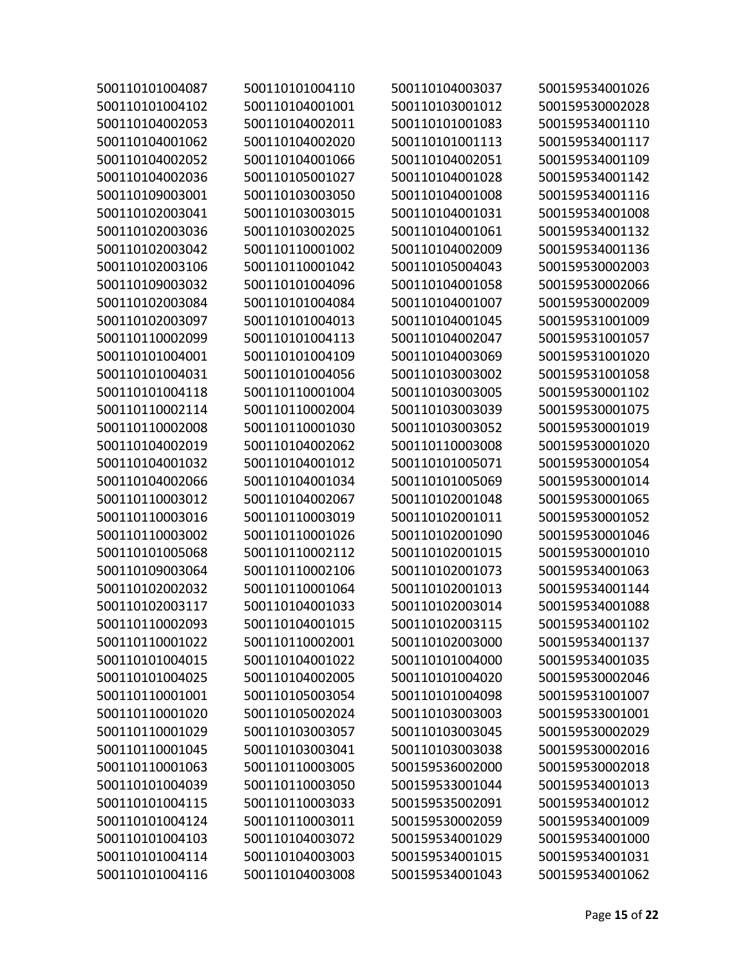| 500110101004087 | 500110101004110 | 500110104003037 | 500159534001026 |
|-----------------|-----------------|-----------------|-----------------|
| 500110101004102 | 500110104001001 | 500110103001012 | 500159530002028 |
| 500110104002053 | 500110104002011 | 500110101001083 | 500159534001110 |
| 500110104001062 | 500110104002020 | 500110101001113 | 500159534001117 |
| 500110104002052 | 500110104001066 | 500110104002051 | 500159534001109 |
| 500110104002036 | 500110105001027 | 500110104001028 | 500159534001142 |
| 500110109003001 | 500110103003050 | 500110104001008 | 500159534001116 |
| 500110102003041 | 500110103003015 | 500110104001031 | 500159534001008 |
| 500110102003036 | 500110103002025 | 500110104001061 | 500159534001132 |
| 500110102003042 | 500110110001002 | 500110104002009 | 500159534001136 |
| 500110102003106 | 500110110001042 | 500110105004043 | 500159530002003 |
| 500110109003032 | 500110101004096 | 500110104001058 | 500159530002066 |
| 500110102003084 | 500110101004084 | 500110104001007 | 500159530002009 |
| 500110102003097 | 500110101004013 | 500110104001045 | 500159531001009 |
| 500110110002099 | 500110101004113 | 500110104002047 | 500159531001057 |
| 500110101004001 | 500110101004109 | 500110104003069 | 500159531001020 |
| 500110101004031 | 500110101004056 | 500110103003002 | 500159531001058 |
| 500110101004118 | 500110110001004 | 500110103003005 | 500159530001102 |
| 500110110002114 | 500110110002004 | 500110103003039 | 500159530001075 |
| 500110110002008 | 500110110001030 | 500110103003052 | 500159530001019 |
| 500110104002019 | 500110104002062 | 500110110003008 | 500159530001020 |
| 500110104001032 | 500110104001012 | 500110101005071 | 500159530001054 |
| 500110104002066 | 500110104001034 | 500110101005069 | 500159530001014 |
| 500110110003012 | 500110104002067 | 500110102001048 | 500159530001065 |
| 500110110003016 | 500110110003019 | 500110102001011 | 500159530001052 |
| 500110110003002 | 500110110001026 | 500110102001090 | 500159530001046 |
| 500110101005068 | 500110110002112 | 500110102001015 | 500159530001010 |
| 500110109003064 | 500110110002106 | 500110102001073 | 500159534001063 |
| 500110102002032 | 500110110001064 | 500110102001013 | 500159534001144 |
| 500110102003117 | 500110104001033 | 500110102003014 | 500159534001088 |
| 500110110002093 | 500110104001015 | 500110102003115 | 500159534001102 |
| 500110110001022 | 500110110002001 | 500110102003000 | 500159534001137 |
| 500110101004015 | 500110104001022 | 500110101004000 | 500159534001035 |
| 500110101004025 | 500110104002005 | 500110101004020 | 500159530002046 |
| 500110110001001 | 500110105003054 | 500110101004098 | 500159531001007 |
| 500110110001020 | 500110105002024 | 500110103003003 | 500159533001001 |
| 500110110001029 | 500110103003057 | 500110103003045 | 500159530002029 |
| 500110110001045 | 500110103003041 | 500110103003038 | 500159530002016 |
| 500110110001063 | 500110110003005 | 500159536002000 | 500159530002018 |
| 500110101004039 | 500110110003050 | 500159533001044 | 500159534001013 |
| 500110101004115 | 500110110003033 | 500159535002091 | 500159534001012 |
| 500110101004124 | 500110110003011 | 500159530002059 | 500159534001009 |
| 500110101004103 | 500110104003072 | 500159534001029 | 500159534001000 |
| 500110101004114 | 500110104003003 | 500159534001015 | 500159534001031 |
| 500110101004116 | 500110104003008 | 500159534001043 | 500159534001062 |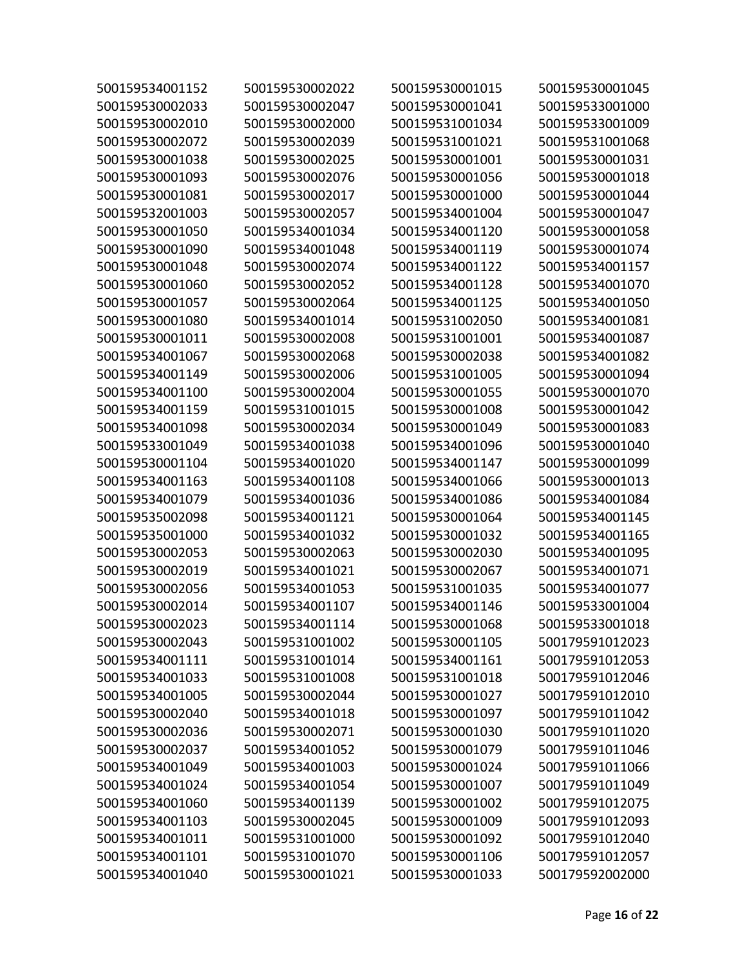| 500159534001152 | 500159530002022 | 500159530001015 | 500159530001045 |
|-----------------|-----------------|-----------------|-----------------|
| 500159530002033 | 500159530002047 | 500159530001041 | 500159533001000 |
| 500159530002010 | 500159530002000 | 500159531001034 | 500159533001009 |
| 500159530002072 | 500159530002039 | 500159531001021 | 500159531001068 |
| 500159530001038 | 500159530002025 | 500159530001001 | 500159530001031 |
| 500159530001093 | 500159530002076 | 500159530001056 | 500159530001018 |
| 500159530001081 | 500159530002017 | 500159530001000 | 500159530001044 |
| 500159532001003 | 500159530002057 | 500159534001004 | 500159530001047 |
| 500159530001050 | 500159534001034 | 500159534001120 | 500159530001058 |
| 500159530001090 | 500159534001048 | 500159534001119 | 500159530001074 |
| 500159530001048 | 500159530002074 | 500159534001122 | 500159534001157 |
| 500159530001060 | 500159530002052 | 500159534001128 | 500159534001070 |
| 500159530001057 | 500159530002064 | 500159534001125 | 500159534001050 |
| 500159530001080 | 500159534001014 | 500159531002050 | 500159534001081 |
| 500159530001011 | 500159530002008 | 500159531001001 | 500159534001087 |
| 500159534001067 | 500159530002068 | 500159530002038 | 500159534001082 |
| 500159534001149 | 500159530002006 | 500159531001005 | 500159530001094 |
| 500159534001100 | 500159530002004 | 500159530001055 | 500159530001070 |
| 500159534001159 | 500159531001015 | 500159530001008 | 500159530001042 |
| 500159534001098 | 500159530002034 | 500159530001049 | 500159530001083 |
| 500159533001049 | 500159534001038 | 500159534001096 | 500159530001040 |
| 500159530001104 | 500159534001020 | 500159534001147 | 500159530001099 |
| 500159534001163 | 500159534001108 | 500159534001066 | 500159530001013 |
| 500159534001079 | 500159534001036 | 500159534001086 | 500159534001084 |
| 500159535002098 | 500159534001121 | 500159530001064 | 500159534001145 |
| 500159535001000 | 500159534001032 | 500159530001032 | 500159534001165 |
| 500159530002053 | 500159530002063 | 500159530002030 | 500159534001095 |
| 500159530002019 | 500159534001021 | 500159530002067 | 500159534001071 |
| 500159530002056 | 500159534001053 | 500159531001035 | 500159534001077 |
| 500159530002014 | 500159534001107 | 500159534001146 | 500159533001004 |
| 500159530002023 | 500159534001114 | 500159530001068 | 500159533001018 |
| 500159530002043 | 500159531001002 | 500159530001105 | 500179591012023 |
| 500159534001111 | 500159531001014 | 500159534001161 | 500179591012053 |
| 500159534001033 | 500159531001008 | 500159531001018 | 500179591012046 |
| 500159534001005 | 500159530002044 | 500159530001027 | 500179591012010 |
| 500159530002040 | 500159534001018 | 500159530001097 | 500179591011042 |
| 500159530002036 | 500159530002071 | 500159530001030 | 500179591011020 |
| 500159530002037 | 500159534001052 | 500159530001079 | 500179591011046 |
| 500159534001049 | 500159534001003 | 500159530001024 | 500179591011066 |
| 500159534001024 | 500159534001054 | 500159530001007 | 500179591011049 |
| 500159534001060 | 500159534001139 | 500159530001002 | 500179591012075 |
| 500159534001103 | 500159530002045 | 500159530001009 | 500179591012093 |
| 500159534001011 | 500159531001000 | 500159530001092 | 500179591012040 |
| 500159534001101 | 500159531001070 | 500159530001106 | 500179591012057 |
| 500159534001040 | 500159530001021 | 500159530001033 | 500179592002000 |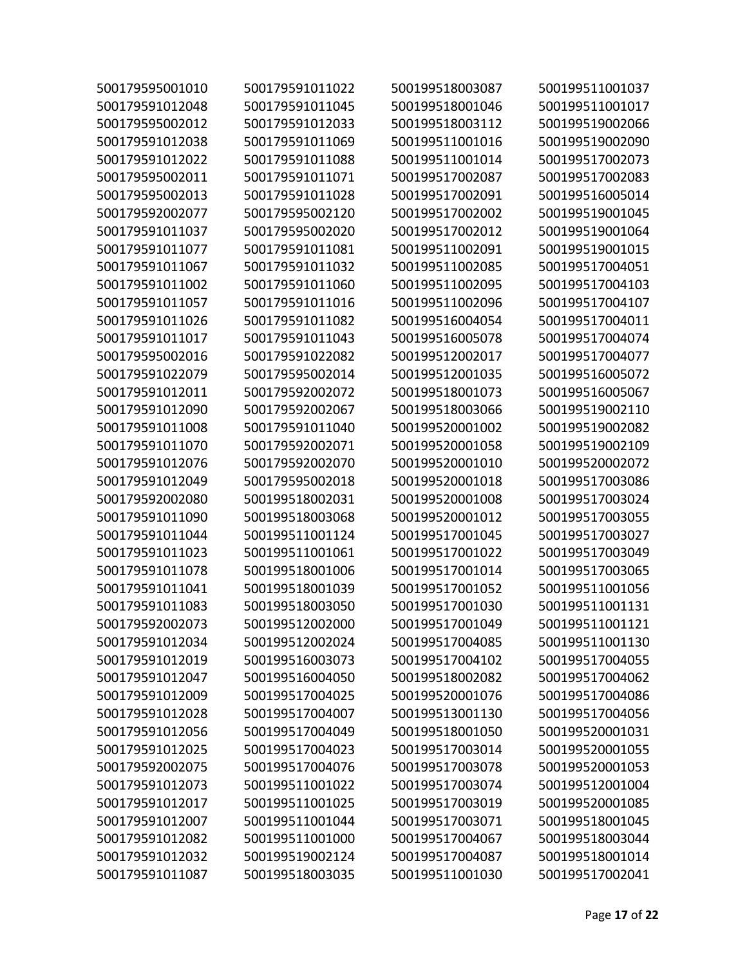| 500179595001010 | 500179591011022 | 500199518003087 | 500199511001037 |
|-----------------|-----------------|-----------------|-----------------|
| 500179591012048 | 500179591011045 | 500199518001046 | 500199511001017 |
| 500179595002012 | 500179591012033 | 500199518003112 | 500199519002066 |
| 500179591012038 | 500179591011069 | 500199511001016 | 500199519002090 |
| 500179591012022 | 500179591011088 | 500199511001014 | 500199517002073 |
| 500179595002011 | 500179591011071 | 500199517002087 | 500199517002083 |
| 500179595002013 | 500179591011028 | 500199517002091 | 500199516005014 |
| 500179592002077 | 500179595002120 | 500199517002002 | 500199519001045 |
| 500179591011037 | 500179595002020 | 500199517002012 | 500199519001064 |
| 500179591011077 | 500179591011081 | 500199511002091 | 500199519001015 |
| 500179591011067 | 500179591011032 | 500199511002085 | 500199517004051 |
| 500179591011002 | 500179591011060 | 500199511002095 | 500199517004103 |
| 500179591011057 | 500179591011016 | 500199511002096 | 500199517004107 |
| 500179591011026 | 500179591011082 | 500199516004054 | 500199517004011 |
| 500179591011017 | 500179591011043 | 500199516005078 | 500199517004074 |
| 500179595002016 | 500179591022082 | 500199512002017 | 500199517004077 |
| 500179591022079 | 500179595002014 | 500199512001035 | 500199516005072 |
| 500179591012011 | 500179592002072 | 500199518001073 | 500199516005067 |
| 500179591012090 | 500179592002067 | 500199518003066 | 500199519002110 |
| 500179591011008 | 500179591011040 | 500199520001002 | 500199519002082 |
| 500179591011070 | 500179592002071 | 500199520001058 | 500199519002109 |
| 500179591012076 | 500179592002070 | 500199520001010 | 500199520002072 |
| 500179591012049 | 500179595002018 | 500199520001018 | 500199517003086 |
| 500179592002080 | 500199518002031 | 500199520001008 | 500199517003024 |
| 500179591011090 | 500199518003068 | 500199520001012 | 500199517003055 |
| 500179591011044 | 500199511001124 | 500199517001045 | 500199517003027 |
| 500179591011023 | 500199511001061 | 500199517001022 | 500199517003049 |
| 500179591011078 | 500199518001006 | 500199517001014 | 500199517003065 |
| 500179591011041 | 500199518001039 | 500199517001052 | 500199511001056 |
| 500179591011083 | 500199518003050 | 500199517001030 | 500199511001131 |
| 500179592002073 | 500199512002000 | 500199517001049 | 500199511001121 |
| 500179591012034 | 500199512002024 | 500199517004085 | 500199511001130 |
| 500179591012019 | 500199516003073 | 500199517004102 | 500199517004055 |
| 500179591012047 | 500199516004050 | 500199518002082 | 500199517004062 |
| 500179591012009 | 500199517004025 | 500199520001076 | 500199517004086 |
| 500179591012028 | 500199517004007 | 500199513001130 | 500199517004056 |
| 500179591012056 | 500199517004049 | 500199518001050 | 500199520001031 |
| 500179591012025 | 500199517004023 | 500199517003014 | 500199520001055 |
| 500179592002075 | 500199517004076 | 500199517003078 | 500199520001053 |
| 500179591012073 | 500199511001022 | 500199517003074 | 500199512001004 |
| 500179591012017 | 500199511001025 | 500199517003019 | 500199520001085 |
| 500179591012007 | 500199511001044 | 500199517003071 | 500199518001045 |
| 500179591012082 | 500199511001000 | 500199517004067 | 500199518003044 |
| 500179591012032 | 500199519002124 | 500199517004087 | 500199518001014 |
| 500179591011087 | 500199518003035 | 500199511001030 | 500199517002041 |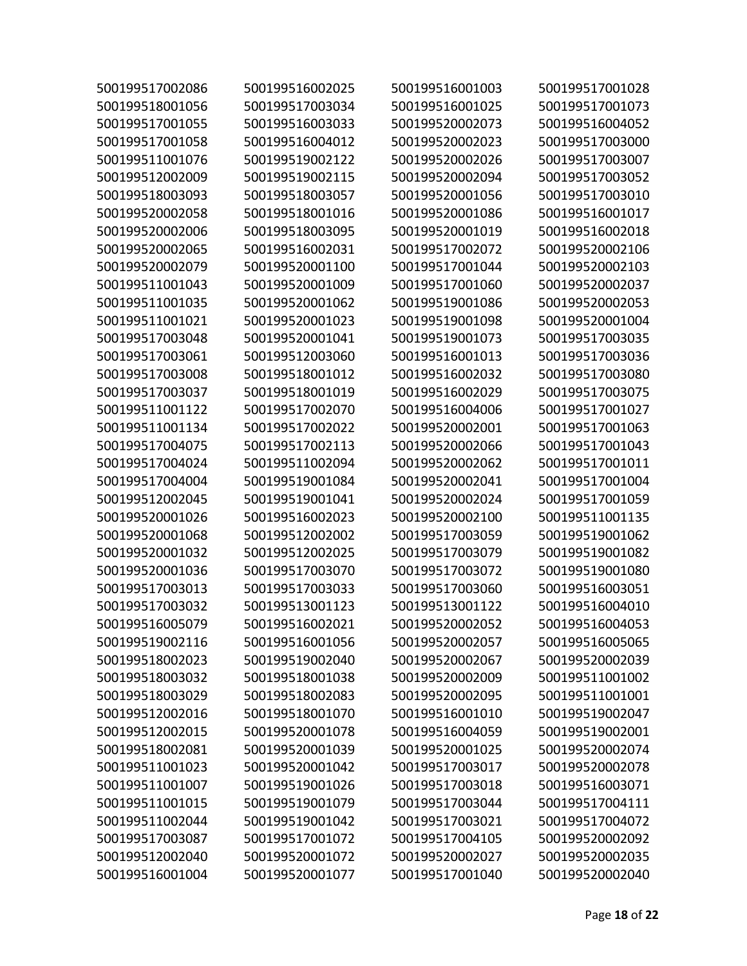| 500199517002086 | 500199516002025 | 500199516001003 | 500199517001028 |
|-----------------|-----------------|-----------------|-----------------|
| 500199518001056 | 500199517003034 | 500199516001025 | 500199517001073 |
| 500199517001055 | 500199516003033 | 500199520002073 | 500199516004052 |
| 500199517001058 | 500199516004012 | 500199520002023 | 500199517003000 |
| 500199511001076 | 500199519002122 | 500199520002026 | 500199517003007 |
| 500199512002009 | 500199519002115 | 500199520002094 | 500199517003052 |
| 500199518003093 | 500199518003057 | 500199520001056 | 500199517003010 |
| 500199520002058 | 500199518001016 | 500199520001086 | 500199516001017 |
| 500199520002006 | 500199518003095 | 500199520001019 | 500199516002018 |
| 500199520002065 | 500199516002031 | 500199517002072 | 500199520002106 |
| 500199520002079 | 500199520001100 | 500199517001044 | 500199520002103 |
| 500199511001043 | 500199520001009 | 500199517001060 | 500199520002037 |
| 500199511001035 | 500199520001062 | 500199519001086 | 500199520002053 |
| 500199511001021 | 500199520001023 | 500199519001098 | 500199520001004 |
| 500199517003048 | 500199520001041 | 500199519001073 | 500199517003035 |
| 500199517003061 | 500199512003060 | 500199516001013 | 500199517003036 |
| 500199517003008 | 500199518001012 | 500199516002032 | 500199517003080 |
| 500199517003037 | 500199518001019 | 500199516002029 | 500199517003075 |
| 500199511001122 | 500199517002070 | 500199516004006 | 500199517001027 |
| 500199511001134 | 500199517002022 | 500199520002001 | 500199517001063 |
| 500199517004075 | 500199517002113 | 500199520002066 | 500199517001043 |
| 500199517004024 | 500199511002094 | 500199520002062 | 500199517001011 |
| 500199517004004 | 500199519001084 | 500199520002041 | 500199517001004 |
| 500199512002045 | 500199519001041 | 500199520002024 | 500199517001059 |
| 500199520001026 | 500199516002023 | 500199520002100 | 500199511001135 |
| 500199520001068 | 500199512002002 | 500199517003059 | 500199519001062 |
| 500199520001032 | 500199512002025 | 500199517003079 | 500199519001082 |
| 500199520001036 | 500199517003070 | 500199517003072 | 500199519001080 |
| 500199517003013 | 500199517003033 | 500199517003060 | 500199516003051 |
| 500199517003032 | 500199513001123 | 500199513001122 | 500199516004010 |
| 500199516005079 | 500199516002021 | 500199520002052 | 500199516004053 |
| 500199519002116 | 500199516001056 | 500199520002057 | 500199516005065 |
| 500199518002023 | 500199519002040 | 500199520002067 | 500199520002039 |
| 500199518003032 | 500199518001038 | 500199520002009 | 500199511001002 |
| 500199518003029 | 500199518002083 | 500199520002095 | 500199511001001 |
| 500199512002016 | 500199518001070 | 500199516001010 | 500199519002047 |
| 500199512002015 | 500199520001078 | 500199516004059 | 500199519002001 |
| 500199518002081 | 500199520001039 | 500199520001025 | 500199520002074 |
| 500199511001023 | 500199520001042 | 500199517003017 | 500199520002078 |
| 500199511001007 | 500199519001026 | 500199517003018 | 500199516003071 |
| 500199511001015 | 500199519001079 | 500199517003044 | 500199517004111 |
| 500199511002044 | 500199519001042 | 500199517003021 | 500199517004072 |
| 500199517003087 | 500199517001072 | 500199517004105 | 500199520002092 |
| 500199512002040 | 500199520001072 | 500199520002027 | 500199520002035 |
| 500199516001004 | 500199520001077 | 500199517001040 | 500199520002040 |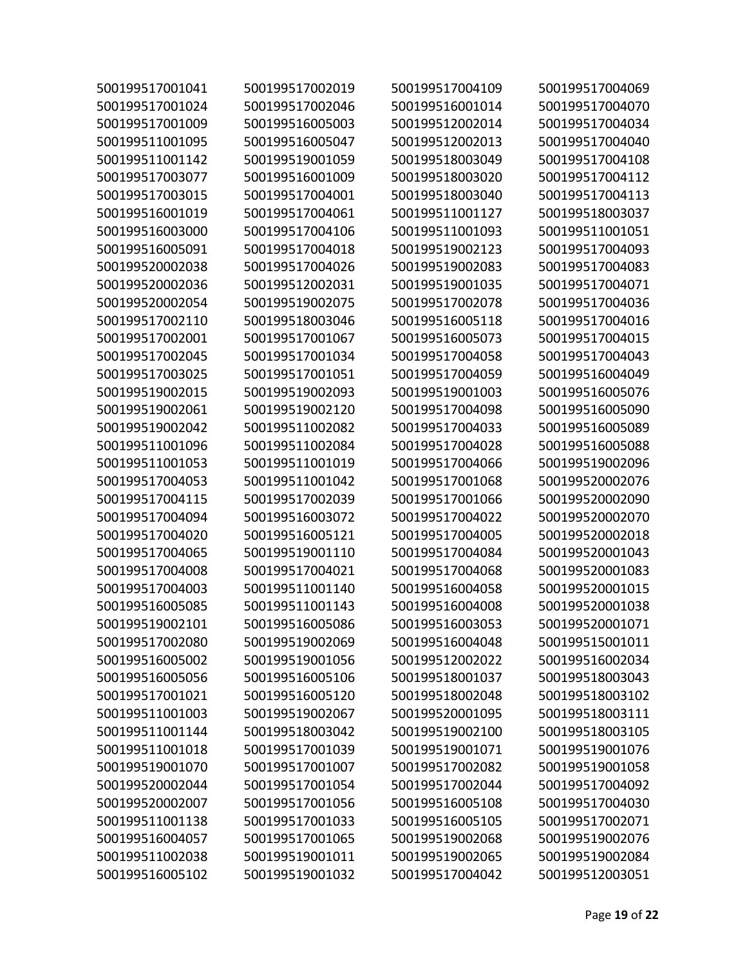| 500199517001041 | 500199517002019 | 500199517004109 | 500199517004069 |
|-----------------|-----------------|-----------------|-----------------|
| 500199517001024 | 500199517002046 | 500199516001014 | 500199517004070 |
| 500199517001009 | 500199516005003 | 500199512002014 | 500199517004034 |
| 500199511001095 | 500199516005047 | 500199512002013 | 500199517004040 |
| 500199511001142 | 500199519001059 | 500199518003049 | 500199517004108 |
| 500199517003077 | 500199516001009 | 500199518003020 | 500199517004112 |
| 500199517003015 | 500199517004001 | 500199518003040 | 500199517004113 |
| 500199516001019 | 500199517004061 | 500199511001127 | 500199518003037 |
| 500199516003000 | 500199517004106 | 500199511001093 | 500199511001051 |
| 500199516005091 | 500199517004018 | 500199519002123 | 500199517004093 |
| 500199520002038 | 500199517004026 | 500199519002083 | 500199517004083 |
| 500199520002036 | 500199512002031 | 500199519001035 | 500199517004071 |
| 500199520002054 | 500199519002075 | 500199517002078 | 500199517004036 |
| 500199517002110 | 500199518003046 | 500199516005118 | 500199517004016 |
| 500199517002001 | 500199517001067 | 500199516005073 | 500199517004015 |
| 500199517002045 | 500199517001034 | 500199517004058 | 500199517004043 |
| 500199517003025 | 500199517001051 | 500199517004059 | 500199516004049 |
| 500199519002015 | 500199519002093 | 500199519001003 | 500199516005076 |
| 500199519002061 | 500199519002120 | 500199517004098 | 500199516005090 |
| 500199519002042 | 500199511002082 | 500199517004033 | 500199516005089 |
| 500199511001096 | 500199511002084 | 500199517004028 | 500199516005088 |
| 500199511001053 | 500199511001019 | 500199517004066 | 500199519002096 |
| 500199517004053 | 500199511001042 | 500199517001068 | 500199520002076 |
| 500199517004115 | 500199517002039 | 500199517001066 | 500199520002090 |
| 500199517004094 | 500199516003072 | 500199517004022 | 500199520002070 |
| 500199517004020 | 500199516005121 | 500199517004005 | 500199520002018 |
| 500199517004065 | 500199519001110 | 500199517004084 | 500199520001043 |
| 500199517004008 | 500199517004021 | 500199517004068 | 500199520001083 |
| 500199517004003 | 500199511001140 | 500199516004058 | 500199520001015 |
| 500199516005085 | 500199511001143 | 500199516004008 | 500199520001038 |
| 500199519002101 | 500199516005086 | 500199516003053 | 500199520001071 |
| 500199517002080 | 500199519002069 | 500199516004048 | 500199515001011 |
| 500199516005002 | 500199519001056 | 500199512002022 | 500199516002034 |
| 500199516005056 | 500199516005106 | 500199518001037 | 500199518003043 |
| 500199517001021 | 500199516005120 | 500199518002048 | 500199518003102 |
| 500199511001003 | 500199519002067 | 500199520001095 | 500199518003111 |
| 500199511001144 | 500199518003042 | 500199519002100 | 500199518003105 |
| 500199511001018 | 500199517001039 | 500199519001071 | 500199519001076 |
| 500199519001070 | 500199517001007 | 500199517002082 | 500199519001058 |
| 500199520002044 | 500199517001054 | 500199517002044 | 500199517004092 |
| 500199520002007 | 500199517001056 | 500199516005108 | 500199517004030 |
| 500199511001138 | 500199517001033 | 500199516005105 | 500199517002071 |
| 500199516004057 | 500199517001065 | 500199519002068 | 500199519002076 |
| 500199511002038 | 500199519001011 | 500199519002065 | 500199519002084 |
| 500199516005102 | 500199519001032 | 500199517004042 | 500199512003051 |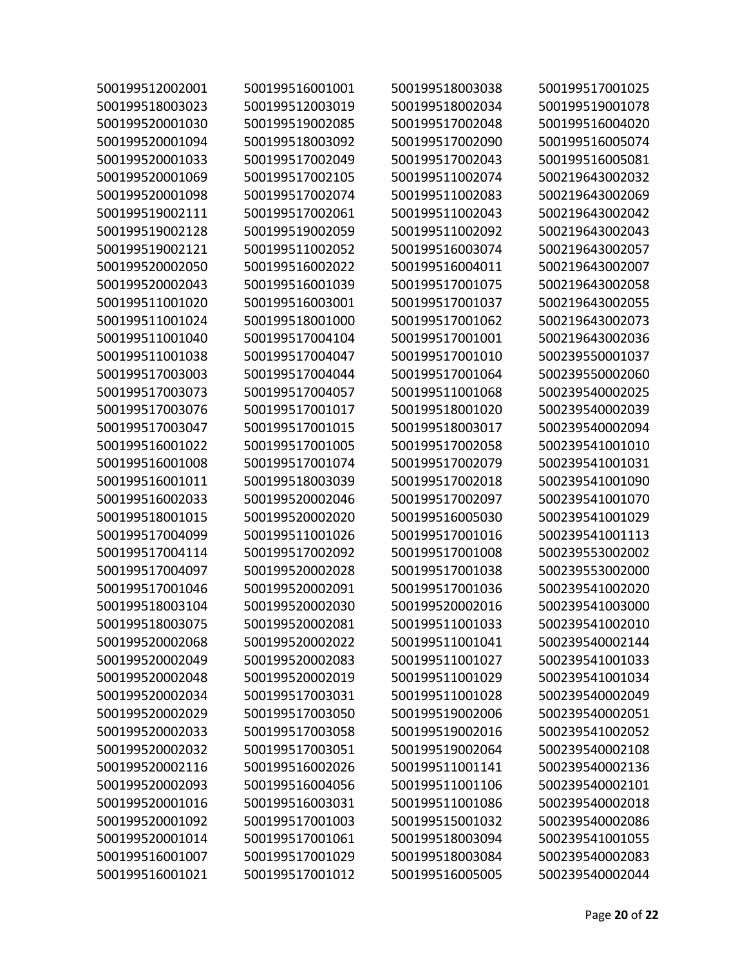| 500199512002001 | 500199516001001 | 500199518003038 | 500199517001025 |
|-----------------|-----------------|-----------------|-----------------|
| 500199518003023 | 500199512003019 | 500199518002034 | 500199519001078 |
| 500199520001030 | 500199519002085 | 500199517002048 | 500199516004020 |
| 500199520001094 | 500199518003092 | 500199517002090 | 500199516005074 |
| 500199520001033 | 500199517002049 | 500199517002043 | 500199516005081 |
| 500199520001069 | 500199517002105 | 500199511002074 | 500219643002032 |
| 500199520001098 | 500199517002074 | 500199511002083 | 500219643002069 |
| 500199519002111 | 500199517002061 | 500199511002043 | 500219643002042 |
| 500199519002128 | 500199519002059 | 500199511002092 | 500219643002043 |
| 500199519002121 | 500199511002052 | 500199516003074 | 500219643002057 |
| 500199520002050 | 500199516002022 | 500199516004011 | 500219643002007 |
| 500199520002043 | 500199516001039 | 500199517001075 | 500219643002058 |
| 500199511001020 | 500199516003001 | 500199517001037 | 500219643002055 |
| 500199511001024 | 500199518001000 | 500199517001062 | 500219643002073 |
| 500199511001040 | 500199517004104 | 500199517001001 | 500219643002036 |
| 500199511001038 | 500199517004047 | 500199517001010 | 500239550001037 |
| 500199517003003 | 500199517004044 | 500199517001064 | 500239550002060 |
| 500199517003073 | 500199517004057 | 500199511001068 | 500239540002025 |
| 500199517003076 | 500199517001017 | 500199518001020 | 500239540002039 |
| 500199517003047 | 500199517001015 | 500199518003017 | 500239540002094 |
| 500199516001022 | 500199517001005 | 500199517002058 | 500239541001010 |
| 500199516001008 | 500199517001074 | 500199517002079 | 500239541001031 |
| 500199516001011 | 500199518003039 | 500199517002018 | 500239541001090 |
| 500199516002033 | 500199520002046 | 500199517002097 | 500239541001070 |
| 500199518001015 | 500199520002020 | 500199516005030 | 500239541001029 |
| 500199517004099 | 500199511001026 | 500199517001016 | 500239541001113 |
| 500199517004114 | 500199517002092 | 500199517001008 | 500239553002002 |
| 500199517004097 | 500199520002028 | 500199517001038 | 500239553002000 |
| 500199517001046 | 500199520002091 | 500199517001036 | 500239541002020 |
| 500199518003104 | 500199520002030 | 500199520002016 | 500239541003000 |
| 500199518003075 | 500199520002081 | 500199511001033 | 500239541002010 |
| 500199520002068 | 500199520002022 | 500199511001041 | 500239540002144 |
| 500199520002049 | 500199520002083 | 500199511001027 | 500239541001033 |
| 500199520002048 | 500199520002019 | 500199511001029 | 500239541001034 |
| 500199520002034 | 500199517003031 | 500199511001028 | 500239540002049 |
| 500199520002029 | 500199517003050 | 500199519002006 | 500239540002051 |
| 500199520002033 | 500199517003058 | 500199519002016 | 500239541002052 |
| 500199520002032 | 500199517003051 | 500199519002064 | 500239540002108 |
| 500199520002116 | 500199516002026 | 500199511001141 | 500239540002136 |
| 500199520002093 | 500199516004056 | 500199511001106 | 500239540002101 |
| 500199520001016 | 500199516003031 | 500199511001086 | 500239540002018 |
| 500199520001092 | 500199517001003 | 500199515001032 | 500239540002086 |
| 500199520001014 | 500199517001061 | 500199518003094 | 500239541001055 |
| 500199516001007 | 500199517001029 | 500199518003084 | 500239540002083 |
| 500199516001021 | 500199517001012 | 500199516005005 | 500239540002044 |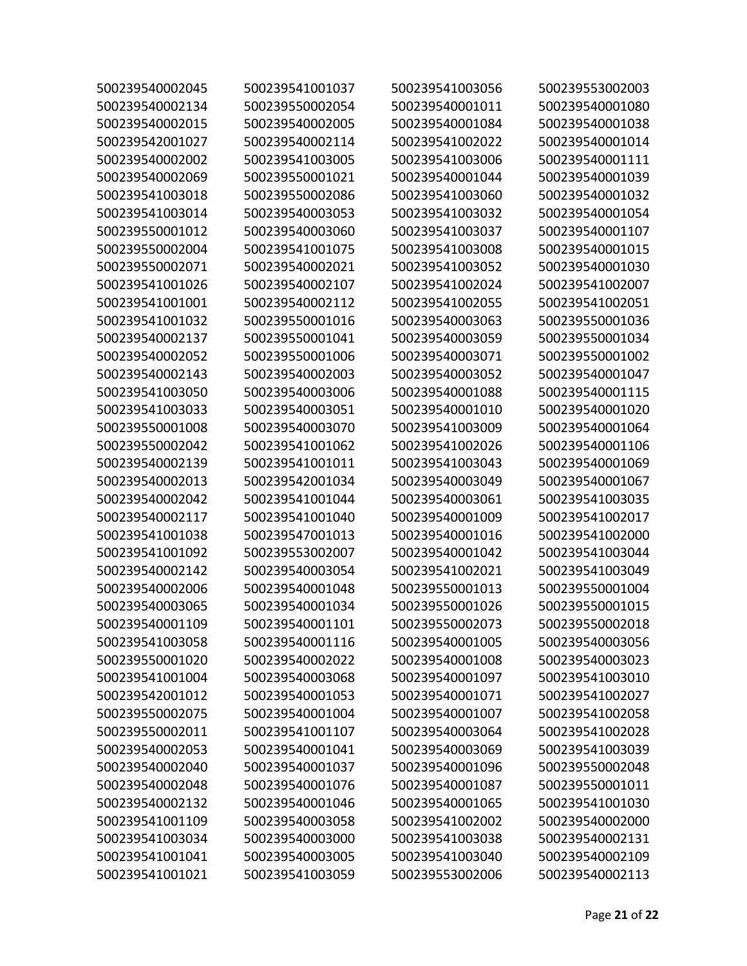| 500239540002045 | 500239541001037 | 500239541003056 | 500239553002003 |
|-----------------|-----------------|-----------------|-----------------|
| 500239540002134 | 500239550002054 | 500239540001011 | 500239540001080 |
| 500239540002015 | 500239540002005 | 500239540001084 | 500239540001038 |
| 500239542001027 | 500239540002114 | 500239541002022 | 500239540001014 |
| 500239540002002 | 500239541003005 | 500239541003006 | 500239540001111 |
| 500239540002069 | 500239550001021 | 500239540001044 | 500239540001039 |
| 500239541003018 | 500239550002086 | 500239541003060 | 500239540001032 |
| 500239541003014 | 500239540003053 | 500239541003032 | 500239540001054 |
| 500239550001012 | 500239540003060 | 500239541003037 | 500239540001107 |
| 500239550002004 | 500239541001075 | 500239541003008 | 500239540001015 |
| 500239550002071 | 500239540002021 | 500239541003052 | 500239540001030 |
| 500239541001026 | 500239540002107 | 500239541002024 | 500239541002007 |
| 500239541001001 | 500239540002112 | 500239541002055 | 500239541002051 |
| 500239541001032 | 500239550001016 | 500239540003063 | 500239550001036 |
| 500239540002137 | 500239550001041 | 500239540003059 | 500239550001034 |
| 500239540002052 | 500239550001006 | 500239540003071 | 500239550001002 |
| 500239540002143 | 500239540002003 | 500239540003052 | 500239540001047 |
| 500239541003050 | 500239540003006 | 500239540001088 | 500239540001115 |
| 500239541003033 | 500239540003051 | 500239540001010 | 500239540001020 |
| 500239550001008 | 500239540003070 | 500239541003009 | 500239540001064 |
| 500239550002042 | 500239541001062 | 500239541002026 | 500239540001106 |
| 500239540002139 | 500239541001011 | 500239541003043 | 500239540001069 |
| 500239540002013 | 500239542001034 | 500239540003049 | 500239540001067 |
| 500239540002042 | 500239541001044 | 500239540003061 | 500239541003035 |
| 500239540002117 | 500239541001040 | 500239540001009 | 500239541002017 |
| 500239541001038 | 500239547001013 | 500239540001016 | 500239541002000 |
| 500239541001092 | 500239553002007 | 500239540001042 | 500239541003044 |
| 500239540002142 | 500239540003054 | 500239541002021 | 500239541003049 |
| 500239540002006 | 500239540001048 | 500239550001013 | 500239550001004 |
| 500239540003065 | 500239540001034 | 500239550001026 | 500239550001015 |
| 500239540001109 | 500239540001101 | 500239550002073 | 500239550002018 |
| 500239541003058 | 500239540001116 | 500239540001005 | 500239540003056 |
| 500239550001020 | 500239540002022 | 500239540001008 | 500239540003023 |
| 500239541001004 | 500239540003068 | 500239540001097 | 500239541003010 |
| 500239542001012 | 500239540001053 | 500239540001071 | 500239541002027 |
| 500239550002075 | 500239540001004 | 500239540001007 | 500239541002058 |
| 500239550002011 | 500239541001107 | 500239540003064 | 500239541002028 |
| 500239540002053 | 500239540001041 | 500239540003069 | 500239541003039 |
| 500239540002040 | 500239540001037 | 500239540001096 | 500239550002048 |
| 500239540002048 | 500239540001076 | 500239540001087 | 500239550001011 |
| 500239540002132 | 500239540001046 | 500239540001065 | 500239541001030 |
| 500239541001109 | 500239540003058 | 500239541002002 | 500239540002000 |
| 500239541003034 | 500239540003000 | 500239541003038 | 500239540002131 |
| 500239541001041 | 500239540003005 | 500239541003040 | 500239540002109 |
| 500239541001021 | 500239541003059 | 500239553002006 | 500239540002113 |